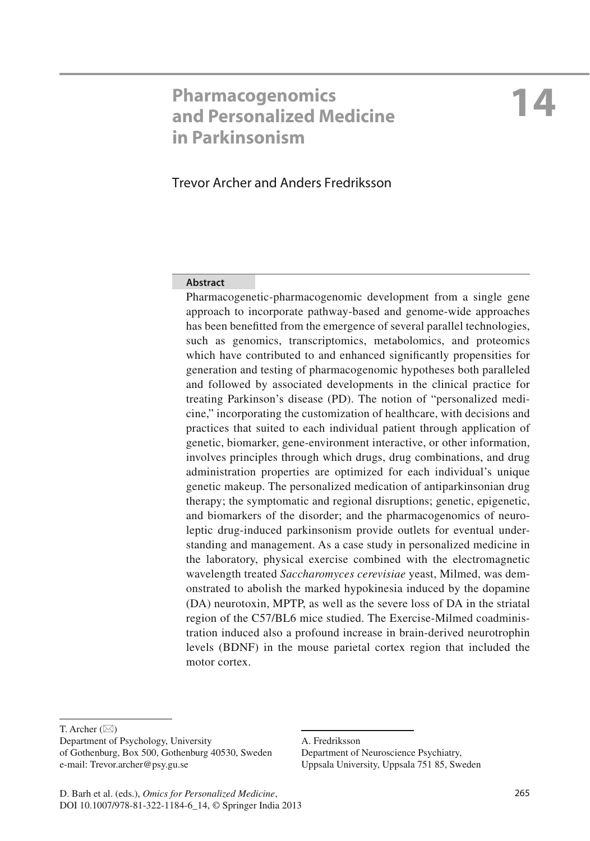# **Pharmacogenomics and Personalized Medicine in Parkinsonism**

 **14**

# Trevor Archer and Anders Fredriksson

#### **Abstract**

 Pharmacogenetic-pharmacogenomic development from a single gene approach to incorporate pathway-based and genome-wide approaches has been benefitted from the emergence of several parallel technologies, such as genomics, transcriptomics, metabolomics, and proteomics which have contributed to and enhanced significantly propensities for generation and testing of pharmacogenomic hypotheses both paralleled and followed by associated developments in the clinical practice for treating Parkinson's disease (PD). The notion of "personalized medicine," incorporating the customization of healthcare, with decisions and practices that suited to each individual patient through application of genetic, biomarker, gene- environment interactive, or other information, involves principles through which drugs, drug combinations, and drug administration properties are optimized for each individual's unique genetic makeup. The personalized medication of antiparkinsonian drug therapy; the symptomatic and regional disruptions; genetic, epigenetic, and biomarkers of the disorder; and the pharmacogenomics of neuroleptic drug-induced parkinsonism provide outlets for eventual understanding and management. As a case study in personalized medicine in the laboratory, physical exercise combined with the electromagnetic wavelength treated *Saccharomyces cerevisiae* yeast, Milmed, was demonstrated to abolish the marked hypokinesia induced by the dopamine (DA) neurotoxin, MPTP, as well as the severe loss of DA in the striatal region of the C57/BL6 mice studied. The Exercise-Milmed coadministration induced also a profound increase in brain-derived neurotrophin levels (BDNF) in the mouse parietal cortex region that included the motor cortex.

#### T. Archer  $(\boxtimes)$

 A. Fredriksson Department of Neuroscience Psychiatry, Uppsala University, Uppsala 751 85, Sweden

Department of Psychology, University of Gothenburg, Box 500, Gothenburg 40530, Sweden e-mail: Trevor.archer@psy.gu.se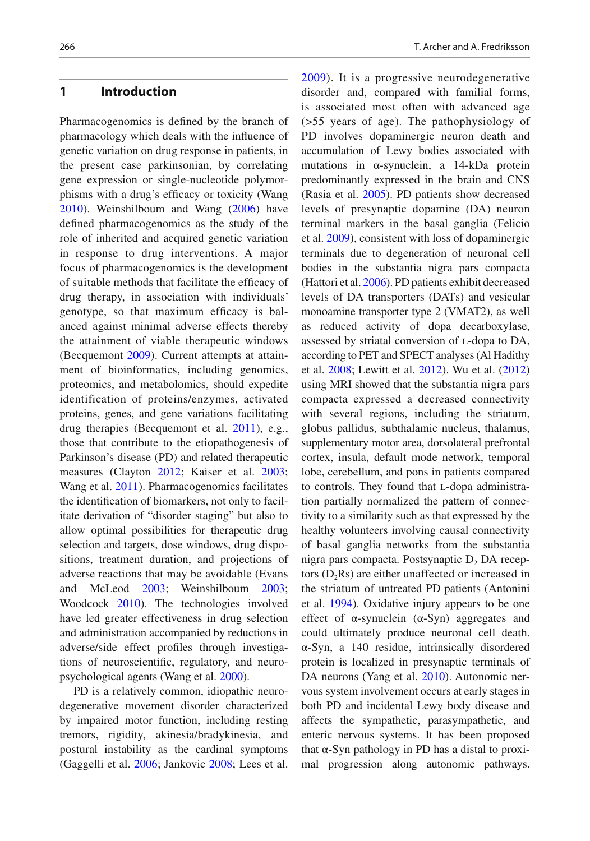#### **1 Introduction**

Pharmacogenomics is defined by the branch of pharmacology which deals with the influence of genetic variation on drug response in patients, in the present case parkinsonian, by correlating gene expression or single-nucleotide polymorphisms with a drug's efficacy or toxicity (Wang  $2010$ ). Weinshilboum and Wang  $(2006)$  have defined pharmacogenomics as the study of the role of inherited and acquired genetic variation in response to drug interventions. A major focus of pharmacogenomics is the development of suitable methods that facilitate the efficacy of drug therapy, in association with individuals' genotype, so that maximum efficacy is balanced against minimal adverse effects thereby the attainment of viable therapeutic windows (Becquemont 2009). Current attempts at attainment of bioinformatics, including genomics, proteomics, and metabolomics, should expedite identification of proteins/enzymes, activated proteins, genes, and gene variations facilitating drug therapies (Becquemont et al. [2011](#page-16-0)), e.g., those that contribute to the etiopathogenesis of Parkinson's disease (PD) and related therapeutic measures (Clayton 2012; Kaiser et al. 2003; Wang et al. 2011). Pharmacogenomics facilitates the identification of biomarkers, not only to facilitate derivation of "disorder staging" but also to allow optimal possibilities for therapeutic drug selection and targets, dose windows, drug dispositions, treatment duration, and projections of adverse reactions that may be avoidable (Evans and McLeod 2003; Weinshilboum 2003; Woodcock [2010](#page-22-0)). The technologies involved have led greater effectiveness in drug selection and administration accompanied by reductions in adverse/side effect profiles through investigations of neuroscientific, regulatory, and neuropsychological agents (Wang et al. 2000).

 PD is a relatively common, idiopathic neurodegenerative movement disorder characterized by impaired motor function, including resting tremors, rigidity, akinesia/bradykinesia, and postural instability as the cardinal symptoms (Gaggelli et al.  $2006$ ; Jankovic  $2008$ ; Lees et al. [2009](#page-19-0)). It is a progressive neurodegenerative disorder and, compared with familial forms, is associated most often with advanced age (>55 years of age). The pathophysiology of PD involves dopaminergic neuron death and accumulation of Lewy bodies associated with mutations in α-synuclein, a 14-kDa protein predominantly expressed in the brain and CNS (Rasia et al. [2005](#page-20-0)). PD patients show decreased levels of presynaptic dopamine (DA) neuron terminal markers in the basal ganglia (Felicio et al. [2009 \)](#page-17-0), consistent with loss of dopaminergic terminals due to degeneration of neuronal cell bodies in the substantia nigra pars compacta (Hattori et al. 2006). PD patients exhibit decreased levels of DA transporters (DATs) and vesicular monoamine transporter type 2 (VMAT2), as well as reduced activity of dopa decarboxylase, assessed by striatal conversion of L-dopa to DA, according to PET and SPECT analyses (Al Hadithy et al. 2008; Lewitt et al. [2012](#page-19-0)). Wu et al. (2012) using MRI showed that the substantia nigra pars compacta expressed a decreased connectivity with several regions, including the striatum, globus pallidus, subthalamic nucleus, thalamus, supplementary motor area, dorsolateral prefrontal cortex, insula, default mode network, temporal lobe, cerebellum, and pons in patients compared to controls. They found that L-dopa administration partially normalized the pattern of connectivity to a similarity such as that expressed by the healthy volunteers involving causal connectivity of basal ganglia networks from the substantia nigra pars compacta. Postsynaptic  $D_2$  DA receptors  $(D_2Rs)$  are either unaffected or increased in the striatum of untreated PD patients (Antonini et al. 1994). Oxidative injury appears to be one effect of  $\alpha$ -synuclein  $(\alpha$ -Syn) aggregates and could ultimately produce neuronal cell death. α-Syn, a 140 residue, intrinsically disordered protein is localized in presynaptic terminals of DA neurons (Yang et al. 2010). Autonomic nervous system involvement occurs at early stages in both PD and incidental Lewy body disease and affects the sympathetic, parasympathetic, and enteric nervous systems. It has been proposed that α-Syn pathology in PD has a distal to proximal progression along autonomic pathways.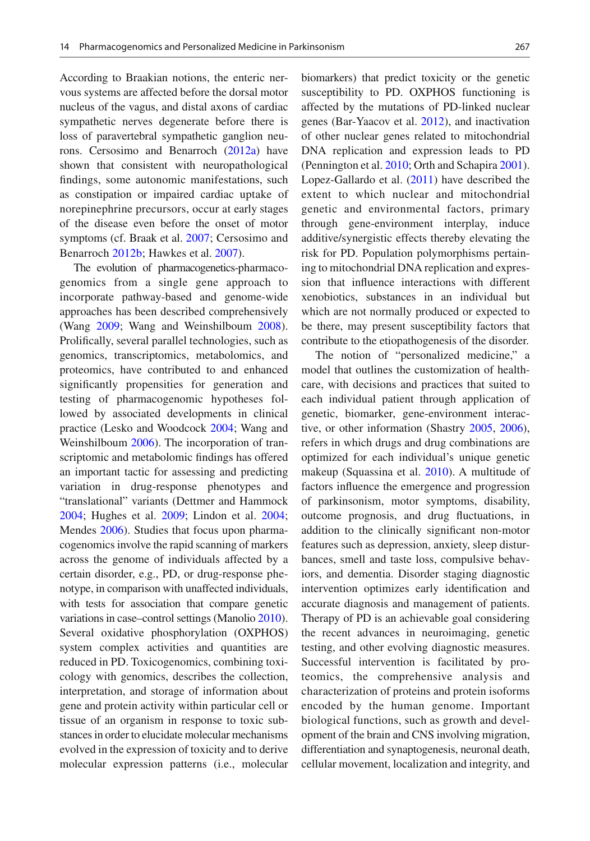According to Braakian notions, the enteric nervous systems are affected before the dorsal motor nucleus of the vagus, and distal axons of cardiac sympathetic nerves degenerate before there is loss of paravertebral sympathetic ganglion neurons. Cersosimo and Benarroch  $(2012a)$  have shown that consistent with neuropathological findings, some autonomic manifestations, such as constipation or impaired cardiac uptake of norepinephrine precursors, occur at early stages of the disease even before the onset of motor symptoms (cf. Braak et al. 2007; Cersosimo and Benarroch 2012b; Hawkes et al. 2007).

The evolution of pharmacogenetics-pharmacogenomics from a single gene approach to incorporate pathway-based and genome-wide approaches has been described comprehensively (Wang 2009; Wang and Weinshilboum 2008). Prolifically, several parallel technologies, such as genomics, transcriptomics, metabolomics, and proteomics, have contributed to and enhanced significantly propensities for generation and testing of pharmacogenomic hypotheses followed by associated developments in clinical practice (Lesko and Woodcock [2004](#page-19-0); Wang and Weinshilboum [2006](#page-22-0)). The incorporation of transcriptomic and metabolomic findings has offered an important tactic for assessing and predicting variation in drug-response phenotypes and "translational" variants (Dettmer and Hammock [2004](#page-17-0); Hughes et al. [2009](#page-18-0); Lindon et al. 2004; Mendes 2006). Studies that focus upon pharmacogenomics involve the rapid scanning of markers across the genome of individuals affected by a certain disorder, e.g., PD, or drug-response phenotype, in comparison with unaffected individuals, with tests for association that compare genetic variations in case–control settings (Manolio 2010). Several oxidative phosphorylation (OXPHOS) system complex activities and quantities are reduced in PD. Toxicogenomics, combining toxicology with genomics, describes the collection, interpretation, and storage of information about gene and protein activity within particular cell or tissue of an organism in response to toxic substances in order to elucidate molecular mechanisms evolved in the expression of toxicity and to derive molecular expression patterns (i.e., molecular

biomarkers) that predict toxicity or the genetic susceptibility to PD. OXPHOS functioning is affected by the mutations of PD-linked nuclear genes (Bar-Yaacov et al. [2012](#page-16-0) ), and inactivation of other nuclear genes related to mitochondrial DNA replication and expression leads to PD (Pennington et al.  $2010$ ; Orth and Schapira  $2001$ ). Lopez-Gallardo et al.  $(2011)$  have described the extent to which nuclear and mitochondrial genetic and environmental factors, primary through gene-environment interplay, induce additive/synergistic effects thereby elevating the risk for PD. Population polymorphisms pertaining to mitochondrial DNA replication and expression that influence interactions with different xenobiotics, substances in an individual but which are not normally produced or expected to be there, may present susceptibility factors that contribute to the etiopathogenesis of the disorder.

 The notion of "personalized medicine," a model that outlines the customization of healthcare, with decisions and practices that suited to each individual patient through application of genetic, biomarker, gene-environment interactive, or other information (Shastry 2005, 2006), refers in which drugs and drug combinations are optimized for each individual's unique genetic makeup (Squassina et al. 2010). A multitude of factors influence the emergence and progression of parkinsonism, motor symptoms, disability, outcome prognosis, and drug fluctuations, in addition to the clinically significant non-motor features such as depression, anxiety, sleep disturbances, smell and taste loss, compulsive behaviors, and dementia. Disorder staging diagnostic intervention optimizes early identification and accurate diagnosis and management of patients. Therapy of PD is an achievable goal considering the recent advances in neuroimaging, genetic testing, and other evolving diagnostic measures. Successful intervention is facilitated by proteomics, the comprehensive analysis and characterization of proteins and protein isoforms encoded by the human genome. Important biological functions, such as growth and development of the brain and CNS involving migration, differentiation and synaptogenesis, neuronal death, cellular movement, localization and integrity, and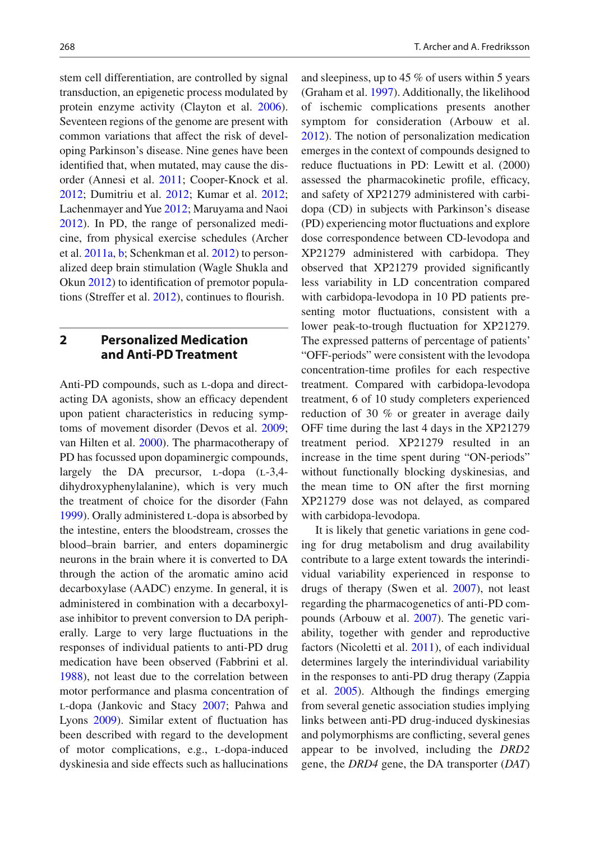stem cell differentiation, are controlled by signal transduction, an epigenetic process modulated by protein enzyme activity (Clayton et al. 2006). Seventeen regions of the genome are present with common variations that affect the risk of developing Parkinson's disease. Nine genes have been identified that, when mutated, may cause the dis-order (Annesi et al. [2011](#page-15-0); Cooper-Knock et al. [2012](#page-17-0); Dumitriu et al. 2012; Kumar et al. 2012; Lachenmayer and Yue 2012; Maruyama and Naoi [2012](#page-19-0)). In PD, the range of personalized medicine, from physical exercise schedules (Archer et al.  $2011a$ , b; Schenkman et al.  $2012$ ) to personalized deep brain stimulation (Wagle Shukla and Okun 2012) to identification of premotor populations (Streffer et al.  $2012$ ), continues to flourish.

# **2 Personalized Medication and Anti-PD Treatment**

Anti-PD compounds, such as L-dopa and directacting DA agonists, show an efficacy dependent upon patient characteristics in reducing symptoms of movement disorder (Devos et al. 2009; van Hilten et al. 2000). The pharmacotherapy of PD has focussed upon dopaminergic compounds, largely the DA precursor,  $L$ -dopa  $(L-3,4$ dihydroxyphenylalanine), which is very much the treatment of choice for the disorder (Fahn [1999](#page-17-0)). Orally administered L-dopa is absorbed by the intestine, enters the bloodstream, crosses the blood–brain barrier, and enters dopaminergic neurons in the brain where it is converted to DA through the action of the aromatic amino acid decarboxylase (AADC) enzyme. In general, it is administered in combination with a decarboxylase inhibitor to prevent conversion to DA peripherally. Large to very large fluctuations in the responses of individual patients to anti-PD drug medication have been observed (Fabbrini et al. [1988](#page-17-0)), not least due to the correlation between motor performance and plasma concentration of L-dopa (Jankovic and Stacy [2007](#page-18-0); Pahwa and Lyons 2009). Similar extent of fluctuation has been described with regard to the development of motor complications, e.g., L-dopa-induced dyskinesia and side effects such as hallucinations

and sleepiness, up to 45 % of users within 5 years (Graham et al. 1997). Additionally, the likelihood of ischemic complications presents another symptom for consideration (Arbouw et al. [2012](#page-16-0)). The notion of personalization medication emerges in the context of compounds designed to reduce fluctuations in PD: Lewitt et al. (2000) assessed the pharmacokinetic profile, efficacy, and safety of XP21279 administered with carbidopa (CD) in subjects with Parkinson's disease (PD) experiencing motor fluctuations and explore dose correspondence between CD-levodopa and XP21279 administered with carbidopa. They observed that XP21279 provided significantly less variability in LD concentration compared with carbidopa-levodopa in 10 PD patients presenting motor fluctuations, consistent with a lower peak-to-trough fluctuation for XP21279. The expressed patterns of percentage of patients' "OFF-periods" were consistent with the levodopa concentration-time profiles for each respective treatment. Compared with carbidopa-levodopa treatment, 6 of 10 study completers experienced reduction of 30 % or greater in average daily OFF time during the last 4 days in the XP21279 treatment period. XP21279 resulted in an increase in the time spent during "ON-periods" without functionally blocking dyskinesias, and the mean time to ON after the first morning XP21279 dose was not delayed, as compared with carbidopa-levodopa.

 It is likely that genetic variations in gene coding for drug metabolism and drug availability contribute to a large extent towards the interindividual variability experienced in response to drugs of therapy (Swen et al. 2007), not least regarding the pharmacogenetics of anti-PD com-pounds (Arbouw et al. [2007](#page-15-0)). The genetic variability, together with gender and reproductive factors (Nicoletti et al. [2011](#page-20-0)), of each individual determines largely the interindividual variability in the responses to anti-PD drug therapy (Zappia et al.  $2005$ ). Although the findings emerging from several genetic association studies implying links between anti-PD drug-induced dyskinesias and polymorphisms are conflicting, several genes appear to be involved, including the *DRD2* gene, the *DRD4* gene, the DA transporter (*DAT*)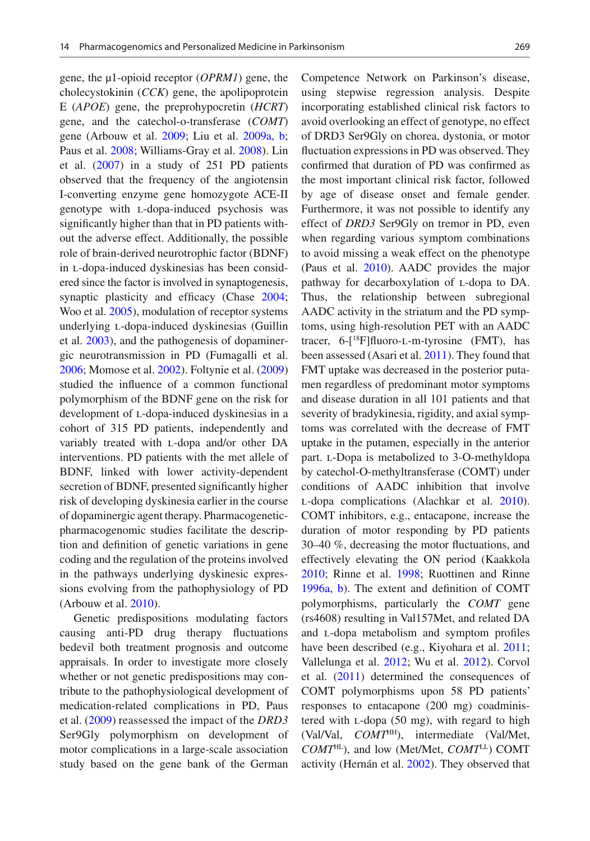gene, the µ1-opioid receptor ( *OPRM1* ) gene, the cholecystokinin (*CCK*) gene, the apolipoprotein E ( *APOE* ) gene, the preprohypocretin ( *HCRT* ) gene, and the catechol-o-transferase (*COMT*) gene (Arbouw et al.  $2009$ ; Liu et al.  $2009a$ , b; Paus et al. [2008](#page-22-0); Williams-Gray et al. 2008). Lin et al.  $(2007)$  in a study of 251 PD patients observed that the frequency of the angiotensin I-converting enzyme gene homozygote ACE-II genotype with L-dopa-induced psychosis was significantly higher than that in PD patients without the adverse effect. Additionally, the possible role of brain-derived neurotrophic factor (BDNF) in L-dopa-induced dyskinesias has been considered since the factor is involved in synaptogenesis, synaptic plasticity and efficacy (Chase 2004; Woo et al. [2005](#page-22-0)), modulation of receptor systems underlying L-dopa-induced dyskinesias (Guillin et al. 2003), and the pathogenesis of dopaminergic neurotransmission in PD (Fumagalli et al. [2006](#page-17-0); Momose et al. 2002). Foltynie et al. (2009) studied the influence of a common functional polymorphism of the BDNF gene on the risk for development of L-dopa-induced dyskinesias in a cohort of 315 PD patients, independently and variably treated with L-dopa and/or other DA interventions. PD patients with the met allele of BDNF, linked with lower activity-dependent secretion of BDNF, presented significantly higher risk of developing dyskinesia earlier in the course of dopaminergic agent therapy. Pharmacogeneticpharmacogenomic studies facilitate the description and definition of genetic variations in gene coding and the regulation of the proteins involved in the pathways underlying dyskinesic expressions evolving from the pathophysiology of PD (Arbouw et al.  $2010$ ).

 Genetic predispositions modulating factors causing anti-PD drug therapy fluctuations bedevil both treatment prognosis and outcome appraisals. In order to investigate more closely whether or not genetic predispositions may contribute to the pathophysiological development of medication- related complications in PD, Paus et al. ( [2009 \)](#page-20-0) reassessed the impact of the *DRD3* Ser9Gly polymorphism on development of motor complications in a large-scale association study based on the gene bank of the German Competence Network on Parkinson's disease, using stepwise regression analysis. Despite incorporating established clinical risk factors to avoid overlooking an effect of genotype, no effect of DRD3 Ser9Gly on chorea, dystonia, or motor fluctuation expressions in PD was observed. They confirmed that duration of PD was confirmed as the most important clinical risk factor, followed by age of disease onset and female gender. Furthermore, it was not possible to identify any effect of *DRD3* Ser9Gly on tremor in PD, even when regarding various symptom combinations to avoid missing a weak effect on the phenotype (Paus et al. [2010](#page-20-0)). AADC provides the major pathway for decarboxylation of L-dopa to DA. Thus, the relationship between subregional AADC activity in the striatum and the PD symptoms, using high-resolution PET with an AADC tracer,  $6-[18]$ fluoro-L-m-tyrosine (FMT), has been assessed (Asari et al. 2011). They found that FMT uptake was decreased in the posterior putamen regardless of predominant motor symptoms and disease duration in all 101 patients and that severity of bradykinesia, rigidity, and axial symptoms was correlated with the decrease of FMT uptake in the putamen, especially in the anterior part. L-Dopa is metabolized to 3-O-methyldopa by catechol-O-methyltransferase (COMT) under conditions of AADC inhibition that involve L-dopa complications (Alachkar et al. 2010). COMT inhibitors, e.g., entacapone, increase the duration of motor responding by PD patients  $30-40$  %, decreasing the motor fluctuations, and effectively elevating the ON period (Kaakkola 2010; Rinne et al. 1998; Ruottinen and Rinne [1996a](#page-21-0), b). The extent and definition of COMT polymorphisms, particularly the *COMT* gene (rs4608) resulting in Val157Met, and related DA and L-dopa metabolism and symptom profiles have been described (e.g., Kiyohara et al. 2011; Vallelunga et al.  $2012$ ; Wu et al.  $2012$ ). Corvol et al.  $(2011)$  determined the consequences of COMT polymorphisms upon 58 PD patients' responses to entacapone (200 mg) coadministered with  $L$ -dopa (50 mg), with regard to high (Val/Val, *COMT*HH ), intermediate (Val/Met,  $COMT<sup>HL</sup>$ ), and low (Met/Met, *COMT*<sup>LL</sup>) COMT activity (Hernán et al. [2002](#page-18-0)). They observed that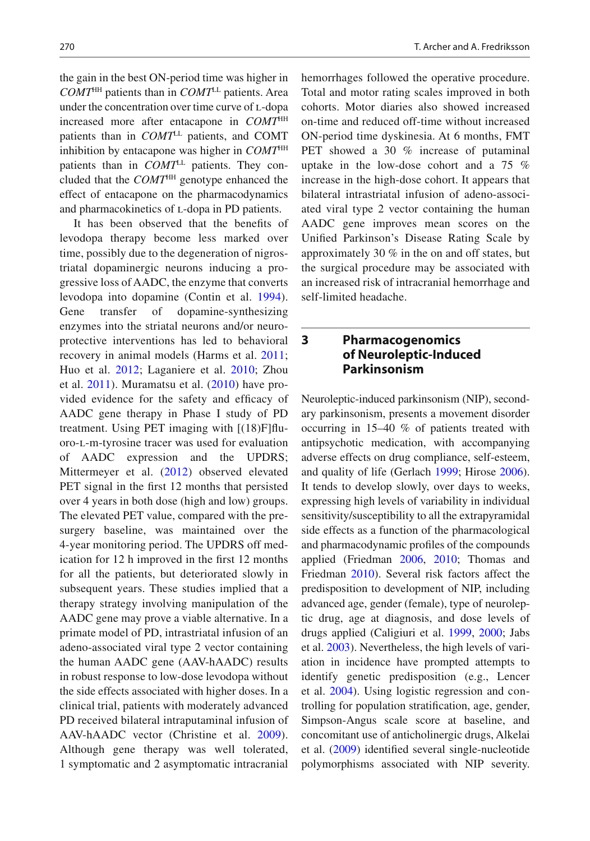the gain in the best ON-period time was higher in *COMT*HH patients than in *COMT*LL patients. Area under the concentration over time curve of L-dopa increased more after entacapone in *COMT*HH patients than in *COMT*<sup>LL</sup> patients, and COMT inhibition by entacapone was higher in *COMT*HH patients than in *COMT*<sup>LL</sup> patients. They concluded that the *COMT*HH genotype enhanced the effect of entacapone on the pharmacodynamics and pharmacokinetics of L-dopa in PD patients.

It has been observed that the benefits of levodopa therapy become less marked over time, possibly due to the degeneration of nigrostriatal dopaminergic neurons inducing a progressive loss of AADC, the enzyme that converts levodopa into dopamine (Contin et al. 1994). Gene transfer of dopamine-synthesizing enzymes into the striatal neurons and/or neuroprotective interventions has led to behavioral recovery in animal models (Harms et al. 2011; Huo et al. [2012](#page-18-0); Laganiere et al. [2010](#page-19-0); Zhou et al.  $2011$ ). Muramatsu et al.  $(2010)$  have provided evidence for the safety and efficacy of AADC gene therapy in Phase I study of PD treatment. Using PET imaging with  $[(18)F]$ fluoro-L-m-tyrosine tracer was used for evaluation of AADC expression and the UPDRS; Mittermeyer et al. (2012) observed elevated PET signal in the first 12 months that persisted over 4 years in both dose (high and low) groups. The elevated PET value, compared with the presurgery baseline, was maintained over the 4-year monitoring period. The UPDRS off medication for 12 h improved in the first 12 months for all the patients, but deteriorated slowly in subsequent years. These studies implied that a therapy strategy involving manipulation of the AADC gene may prove a viable alternative. In a primate model of PD, intrastriatal infusion of an adeno-associated viral type 2 vector containing the human AADC gene (AAV-hAADC) results in robust response to low-dose levodopa without the side effects associated with higher doses. In a clinical trial, patients with moderately advanced PD received bilateral intraputaminal infusion of AAV-hAADC vector (Christine et al. 2009). Although gene therapy was well tolerated, 1 symptomatic and 2 asymptomatic intracranial hemorrhages followed the operative procedure. Total and motor rating scales improved in both cohorts. Motor diaries also showed increased on- time and reduced off-time without increased ON-period time dyskinesia. At 6 months, FMT PET showed a 30 % increase of putaminal uptake in the low-dose cohort and a 75 % increase in the high-dose cohort. It appears that bilateral intrastriatal infusion of adeno-associated viral type 2 vector containing the human AADC gene improves mean scores on the Unified Parkinson's Disease Rating Scale by approximately 30 % in the on and off states, but the surgical procedure may be associated with an increased risk of intracranial hemorrhage and self-limited headache.

# **3 Pharmacogenomics of Neuroleptic-Induced Parkinsonism**

 Neuroleptic-induced parkinsonism (NIP), secondary parkinsonism, presents a movement disorder occurring in 15–40 % of patients treated with antipsychotic medication, with accompanying adverse effects on drug compliance, self-esteem, and quality of life (Gerlach [1999](#page-17-0); Hirose 2006). It tends to develop slowly, over days to weeks, expressing high levels of variability in individual sensitivity/susceptibility to all the extrapyramidal side effects as a function of the pharmacological and pharmacodynamic profiles of the compounds applied (Friedman [2006](#page-17-0), [2010](#page-17-0); Thomas and Friedman [2010](#page-22-0)). Several risk factors affect the predisposition to development of NIP, including advanced age, gender (female), type of neuroleptic drug, age at diagnosis, and dose levels of drugs applied (Caligiuri et al. 1999, 2000; Jabs et al. [2003 \)](#page-18-0). Nevertheless, the high levels of variation in incidence have prompted attempts to identify genetic predisposition (e.g., Lencer et al. [2004](#page-19-0)). Using logistic regression and controlling for population stratification, age, gender, Simpson-Angus scale score at baseline, and concomitant use of anticholinergic drugs, Alkelai et al. (2009) identified several single-nucleotide polymorphisms associated with NIP severity.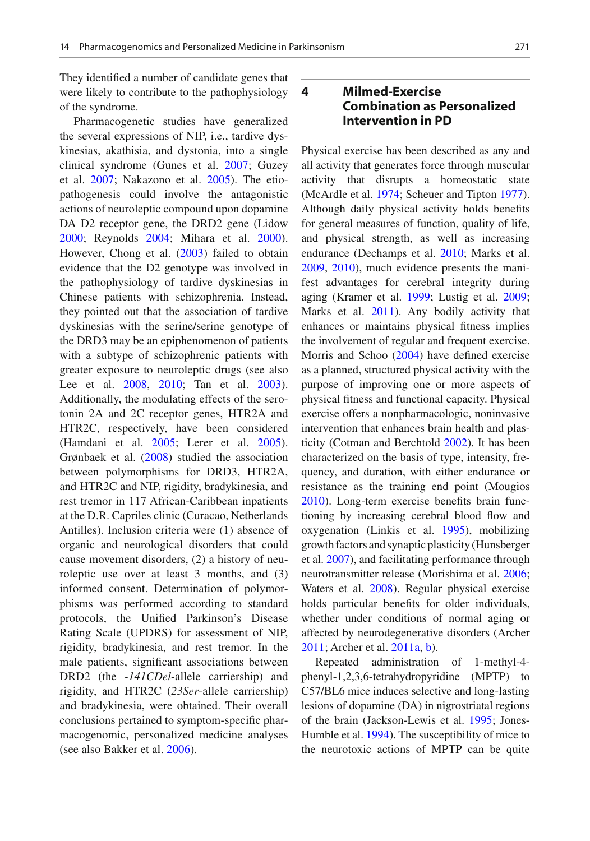They identified a number of candidate genes that were likely to contribute to the pathophysiology of the syndrome.

 Pharmacogenetic studies have generalized the several expressions of NIP, i.e., tardive dyskinesias, akathisia, and dystonia, into a single clinical syndrome (Gunes et al. 2007; Guzey et al. 2007; Nakazono et al. [2005](#page-20-0)). The etiopathogenesis could involve the antagonistic actions of neuroleptic compound upon dopamine DA D2 receptor gene, the DRD2 gene (Lidow [2000](#page-19-0); Reynolds [2004](#page-21-0); Mihara et al. 2000). However, Chong et al.  $(2003)$  failed to obtain evidence that the D2 genotype was involved in the pathophysiology of tardive dyskinesias in Chinese patients with schizophrenia. Instead, they pointed out that the association of tardive dyskinesias with the serine/serine genotype of the DRD3 may be an epiphenomenon of patients with a subtype of schizophrenic patients with greater exposure to neuroleptic drugs (see also Lee et al. 2008, [2010](#page-19-0); Tan et al. 2003). Additionally, the modulating effects of the serotonin 2A and 2C receptor genes, HTR2A and HTR2C, respectively, have been considered (Hamdani et al. [2005](#page-18-0); Lerer et al. 2005). Grønbaek et al.  $(2008)$  studied the association between polymorphisms for DRD3, HTR2A, and HTR2C and NIP, rigidity, bradykinesia, and rest tremor in 117 African-Caribbean inpatients at the D.R. Capriles clinic (Curacao, Netherlands Antilles). Inclusion criteria were (1) absence of organic and neurological disorders that could cause movement disorders, (2) a history of neuroleptic use over at least 3 months, and (3) informed consent. Determination of polymorphisms was performed according to standard protocols, the Unified Parkinson's Disease Rating Scale (UPDRS) for assessment of NIP, rigidity, bradykinesia, and rest tremor. In the male patients, significant associations between DRD2 (the *-141CDel*-allele carriership) and rigidity, and HTR2C ( *23Ser* -allele carriership) and bradykinesia, were obtained. Their overall conclusions pertained to symptom-specific pharmacogenomic, personalized medicine analyses (see also Bakker et al. 2006).

# **4 Milmed-Exercise Combination as Personalized Intervention in PD**

 Physical exercise has been described as any and all activity that generates force through muscular activity that disrupts a homeostatic state (McArdle et al. 1974; Scheuer and Tipton 1977). Although daily physical activity holds benefits for general measures of function, quality of life, and physical strength, as well as increasing endurance (Dechamps et al. 2010; Marks et al. 2009, [2010](#page-19-0)), much evidence presents the manifest advantages for cerebral integrity during aging (Kramer et al. [1999](#page-19-0); Lustig et al. 2009; Marks et al. 2011). Any bodily activity that enhances or maintains physical fitness implies the involvement of regular and frequent exercise. Morris and Schoo  $(2004)$  have defined exercise as a planned, structured physical activity with the purpose of improving one or more aspects of physical fitness and functional capacity. Physical exercise offers a nonpharmacologic, noninvasive intervention that enhances brain health and plasticity (Cotman and Berchtold 2002). It has been characterized on the basis of type, intensity, frequency, and duration, with either endurance or resistance as the training end point (Mougios  $2010$ ). Long-term exercise benefits brain functioning by increasing cerebral blood flow and oxygenation (Linkis et al. [1995](#page-19-0)), mobilizing growth factors and synaptic plasticity (Hunsberger et al. [2007](#page-18-0)), and facilitating performance through neurotransmitter release (Morishima et al. 2006; Waters et al. [2008](#page-22-0)). Regular physical exercise holds particular benefits for older individuals, whether under conditions of normal aging or affected by neurodegenerative disorders (Archer 2011; Archer et al. [2011a](#page-16-0), [b](#page-16-0)).

 Repeated administration of 1-methyl-4 phenyl-1,2,3,6-tetrahydropyridine (MPTP) to C57/BL6 mice induces selective and long-lasting lesions of dopamine (DA) in nigrostriatal regions of the brain (Jackson-Lewis et al. [1995](#page-18-0); Jones-Humble et al. [1994](#page-18-0)). The susceptibility of mice to the neurotoxic actions of MPTP can be quite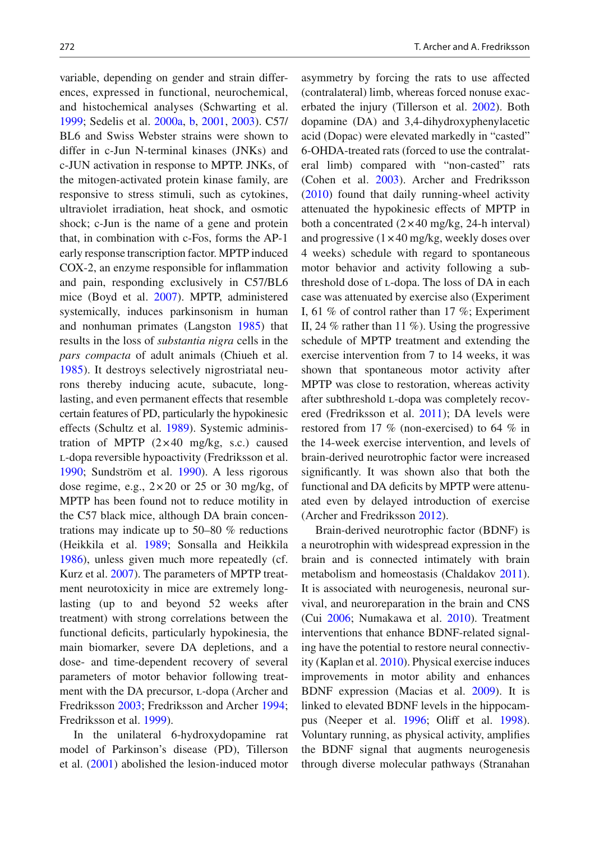variable, depending on gender and strain differences, expressed in functional, neurochemical, and histochemical analyses (Schwarting et al. [1999](#page-21-0); Sedelis et al. [2000a](#page-21-0), [b](#page-21-0), 2001, [2003](#page-21-0)). C57/ BL6 and Swiss Webster strains were shown to differ in c-Jun N-terminal kinases (JNKs) and c-JUN activation in response to MPTP. JNKs, of the mitogen-activated protein kinase family, are responsive to stress stimuli, such as cytokines, ultraviolet irradiation, heat shock, and osmotic shock; c-Jun is the name of a gene and protein that, in combination with c-Fos, forms the AP-1 early response transcription factor. MPTP induced COX-2, an enzyme responsible for inflammation and pain, responding exclusively in C57/BL6 mice (Boyd et al. 2007). MPTP, administered systemically, induces parkinsonism in human and nonhuman primates (Langston [1985](#page-19-0)) that results in the loss of *substantia nigra* cells in the *pars compacta* of adult animals (Chiueh et al. [1985](#page-16-0)). It destroys selectively nigrostriatal neurons thereby inducing acute, subacute, longlasting, and even permanent effects that resemble certain features of PD, particularly the hypokinesic effects (Schultz et al. 1989). Systemic administration of MPTP  $(2 \times 40 \text{ mg/kg}, \text{ s.c.})$  caused l -dopa reversible hypoactivity (Fredriksson et al. [1990](#page-21-0); Sundström et al. 1990). A less rigorous dose regime, e.g.,  $2 \times 20$  or 25 or 30 mg/kg, of MPTP has been found not to reduce motility in the C57 black mice, although DA brain concentrations may indicate up to 50–80 % reductions (Heikkila et al. [1989](#page-18-0); Sonsalla and Heikkila [1986](#page-21-0)), unless given much more repeatedly (cf. Kurz et al. 2007). The parameters of MPTP treatment neurotoxicity in mice are extremely longlasting (up to and beyond 52 weeks after treatment) with strong correlations between the functional deficits, particularly hypokinesia, the main biomarker, severe DA depletions, and a dose- and time-dependent recovery of several parameters of motor behavior following treatment with the DA precursor, L-dopa (Archer and Fredriksson [2003](#page-16-0); Fredriksson and Archer 1994; Fredriksson et al. 1999).

 In the unilateral 6-hydroxydopamine rat model of Parkinson's disease (PD), Tillerson et al.  $(2001)$  abolished the lesion-induced motor

asymmetry by forcing the rats to use affected (contralateral) limb, whereas forced nonuse exac-erbated the injury (Tillerson et al. [2002](#page-22-0)). Both dopamine (DA) and 3,4-dihydroxyphenylacetic acid (Dopac) were elevated markedly in "casted" 6-OHDA-treated rats (forced to use the contralateral limb) compared with "non-casted" rats (Cohen et al. 2003). Archer and Fredriksson (2010) found that daily running-wheel activity attenuated the hypokinesic effects of MPTP in both a concentrated  $(2 \times 40 \text{ mg/kg}, 24 \text{--}h \text{ interval})$ and progressive  $(1 \times 40 \text{ mg/kg})$ , weekly doses over 4 weeks) schedule with regard to spontaneous motor behavior and activity following a subthreshold dose of L-dopa. The loss of DA in each case was attenuated by exercise also (Experiment I, 61 % of control rather than 17 %; Experiment II, 24 % rather than 11 %). Using the progressive schedule of MPTP treatment and extending the exercise intervention from 7 to 14 weeks, it was shown that spontaneous motor activity after MPTP was close to restoration, whereas activity after subthreshold L-dopa was completely recovered (Fredriksson et al. 2011); DA levels were restored from 17 % (non-exercised) to 64 % in the 14-week exercise intervention, and levels of brain-derived neurotrophic factor were increased significantly. It was shown also that both the functional and DA deficits by MPTP were attenuated even by delayed introduction of exercise (Archer and Fredriksson [2012](#page-16-0)).

 Brain-derived neurotrophic factor (BDNF) is a neurotrophin with widespread expression in the brain and is connected intimately with brain metabolism and homeostasis (Chaldakov 2011). It is associated with neurogenesis, neuronal survival, and neuroreparation in the brain and CNS (Cui [2006](#page-17-0); Numakawa et al. 2010). Treatment interventions that enhance BDNF-related signaling have the potential to restore neural connectiv-ity (Kaplan et al. [2010](#page-18-0)). Physical exercise induces improvements in motor ability and enhances BDNF expression (Macias et al. 2009). It is linked to elevated BDNF levels in the hippocampus (Neeper et al. 1996; Oliff et al. 1998). Voluntary running, as physical activity, amplifies the BDNF signal that augments neurogenesis through diverse molecular pathways (Stranahan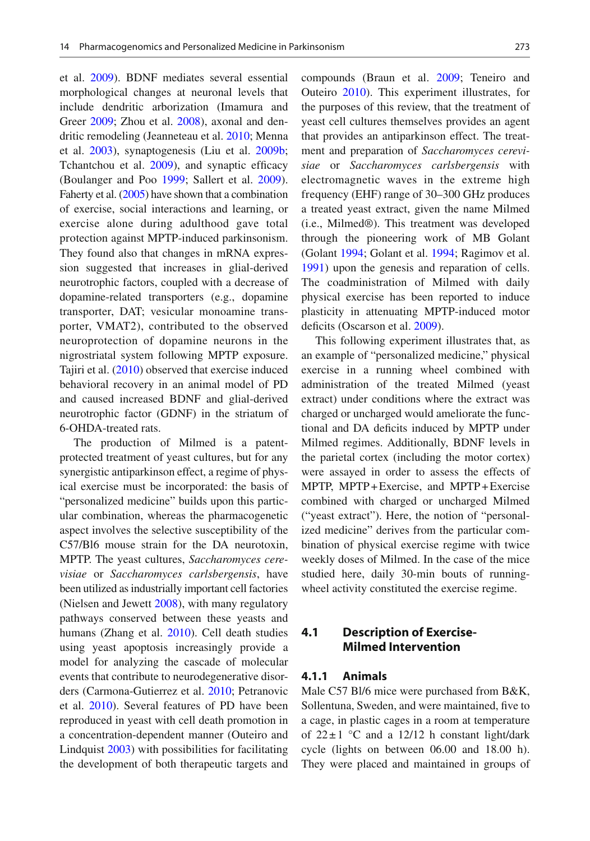et al. [2009](#page-21-0)). BDNF mediates several essential morphological changes at neuronal levels that include dendritic arborization (Imamura and Greer [2009](#page-18-0); Zhou et al. 2008), axonal and dendritic remodeling (Jeanneteau et al. 2010; Menna et al. 2003), synaptogenesis (Liu et al. 2009b; Tchantchou et al.  $2009$ ), and synaptic efficacy (Boulanger and Poo [1999](#page-16-0); Sallert et al. 2009). Faherty et al.  $(2005)$  have shown that a combination of exercise, social interactions and learning, or exercise alone during adulthood gave total protection against MPTP-induced parkinsonism. They found also that changes in mRNA expression suggested that increases in glial-derived neurotrophic factors, coupled with a decrease of dopamine-related transporters (e.g., dopamine transporter, DAT; vesicular monoamine transporter, VMAT2), contributed to the observed neuroprotection of dopamine neurons in the nigrostriatal system following MPTP exposure. Tajiri et al.  $(2010)$  observed that exercise induced behavioral recovery in an animal model of PD and caused increased BDNF and glial-derived neurotrophic factor (GDNF) in the striatum of 6-OHDA-treated rats.

 The production of Milmed is a patentprotected treatment of yeast cultures, but for any synergistic antiparkinson effect, a regime of physical exercise must be incorporated: the basis of "personalized medicine" builds upon this particular combination, whereas the pharmacogenetic aspect involves the selective susceptibility of the C57/Bl6 mouse strain for the DA neurotoxin, MPTP. The yeast cultures, *Saccharomyces cerevisiae* or *Saccharomyces carlsbergensis* , have been utilized as industrially important cell factories (Nielsen and Jewett [2008](#page-20-0)), with many regulatory pathways conserved between these yeasts and humans (Zhang et al. [2010](#page-22-0)). Cell death studies using yeast apoptosis increasingly provide a model for analyzing the cascade of molecular events that contribute to neurodegenerative disor-ders (Carmona-Gutierrez et al. [2010](#page-16-0); Petranovic et al. [2010](#page-20-0)). Several features of PD have been reproduced in yeast with cell death promotion in a concentration-dependent manner (Outeiro and Lindquist [2003](#page-20-0)) with possibilities for facilitating the development of both therapeutic targets and compounds (Braun et al. 2009; Teneiro and Outeiro [2010](#page-22-0)). This experiment illustrates, for the purposes of this review, that the treatment of yeast cell cultures themselves provides an agent that provides an antiparkinson effect. The treatment and preparation of *Saccharomyces cerevisiae* or *Saccharomyces carlsbergensis* with electromagnetic waves in the extreme high frequency (EHF) range of 30–300 GHz produces a treated yeast extract, given the name Milmed (i.e., Milmed®). This treatment was developed through the pioneering work of MB Golant (Golant [1994](#page-17-0); Golant et al. [1994](#page-18-0); Ragimov et al. 1991) upon the genesis and reparation of cells. The coadministration of Milmed with daily physical exercise has been reported to induce plasticity in attenuating MPTP-induced motor deficits (Oscarson et al. [2009](#page-20-0)).

 This following experiment illustrates that, as an example of "personalized medicine," physical exercise in a running wheel combined with administration of the treated Milmed (yeast extract) under conditions where the extract was charged or uncharged would ameliorate the functional and DA deficits induced by MPTP under Milmed regimes. Additionally, BDNF levels in the parietal cortex (including the motor cortex) were assayed in order to assess the effects of MPTP, MPTP + Exercise, and MPTP + Exercise combined with charged or uncharged Milmed ("yeast extract"). Here, the notion of "personalized medicine" derives from the particular combination of physical exercise regime with twice weekly doses of Milmed. In the case of the mice studied here, daily 30-min bouts of runningwheel activity constituted the exercise regime.

# **4.1 Description of Exercise-Milmed Intervention**

#### **4.1.1 Animals**

Male C57 Bl/6 mice were purchased from B&K, Sollentuna, Sweden, and were maintained, five to a cage, in plastic cages in a room at temperature of  $22 \pm 1$  °C and a 12/12 h constant light/dark cycle (lights on between 06.00 and 18.00 h). They were placed and maintained in groups of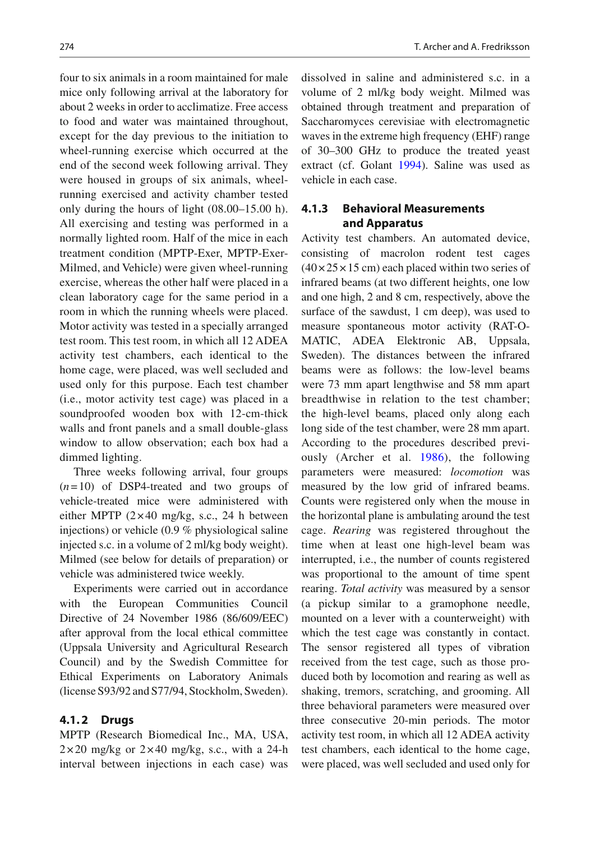four to six animals in a room maintained for male mice only following arrival at the laboratory for about 2 weeks in order to acclimatize. Free access to food and water was maintained throughout, except for the day previous to the initiation to wheel-running exercise which occurred at the end of the second week following arrival. They were housed in groups of six animals, wheelrunning exercised and activity chamber tested only during the hours of light (08.00–15.00 h). All exercising and testing was performed in a normally lighted room. Half of the mice in each treatment condition (MPTP-Exer, MPTP-Exer-Milmed, and Vehicle) were given wheel-running exercise, whereas the other half were placed in a clean laboratory cage for the same period in a room in which the running wheels were placed. Motor activity was tested in a specially arranged test room. This test room, in which all 12 ADEA activity test chambers, each identical to the home cage, were placed, was well secluded and used only for this purpose. Each test chamber (i.e., motor activity test cage) was placed in a soundproofed wooden box with 12-cm-thick walls and front panels and a small double-glass window to allow observation; each box had a dimmed lighting.

 Three weeks following arrival, four groups  $(n=10)$  of DSP4-treated and two groups of vehicle- treated mice were administered with either MPTP  $(2 \times 40 \text{ mg/kg}, \text{ s.c.}, 24 \text{ h} \text{ between}$ injections) or vehicle (0.9 % physiological saline injected s.c. in a volume of 2 ml/kg body weight). Milmed (see below for details of preparation) or vehicle was administered twice weekly.

 Experiments were carried out in accordance with the European Communities Council Directive of 24 November 1986 (86/609/EEC) after approval from the local ethical committee (Uppsala University and Agricultural Research Council) and by the Swedish Committee for Ethical Experiments on Laboratory Animals (license S93/92 and S77/94, Stockholm, Sweden).

#### **4.1. 2 Drugs**

 MPTP (Research Biomedical Inc., MA, USA,  $2 \times 20$  mg/kg or  $2 \times 40$  mg/kg, s.c., with a 24-h interval between injections in each case) was

dissolved in saline and administered s.c. in a volume of 2 ml/kg body weight. Milmed was obtained through treatment and preparation of Saccharomyces cerevisiae with electromagnetic waves in the extreme high frequency (EHF) range of 30–300 GHz to produce the treated yeast extract (cf. Golant 1994). Saline was used as vehicle in each case.

# **4.1.3 Behavioral Measurements and Apparatus**

 Activity test chambers. An automated device, consisting of macrolon rodent test cages  $(40 \times 25 \times 15$  cm) each placed within two series of infrared beams (at two different heights, one low and one high, 2 and 8 cm, respectively, above the surface of the sawdust, 1 cm deep), was used to measure spontaneous motor activity (RAT-O-MATIC, ADEA Elektronic AB, Uppsala, Sweden). The distances between the infrared beams were as follows: the low-level beams were 73 mm apart lengthwise and 58 mm apart breadthwise in relation to the test chamber; the high-level beams, placed only along each long side of the test chamber, were 28 mm apart. According to the procedures described previ-ously (Archer et al. [1986](#page-16-0)), the following parameters were measured: *locomotion* was measured by the low grid of infrared beams. Counts were registered only when the mouse in the horizontal plane is ambulating around the test cage. *Rearing* was registered throughout the time when at least one high-level beam was interrupted, i.e., the number of counts registered was proportional to the amount of time spent rearing. *Total activity* was measured by a sensor (a pickup similar to a gramophone needle, mounted on a lever with a counterweight) with which the test cage was constantly in contact. The sensor registered all types of vibration received from the test cage, such as those produced both by locomotion and rearing as well as shaking, tremors, scratching, and grooming. All three behavioral parameters were measured over three consecutive 20-min periods. The motor activity test room, in which all 12 ADEA activity test chambers, each identical to the home cage, were placed, was well secluded and used only for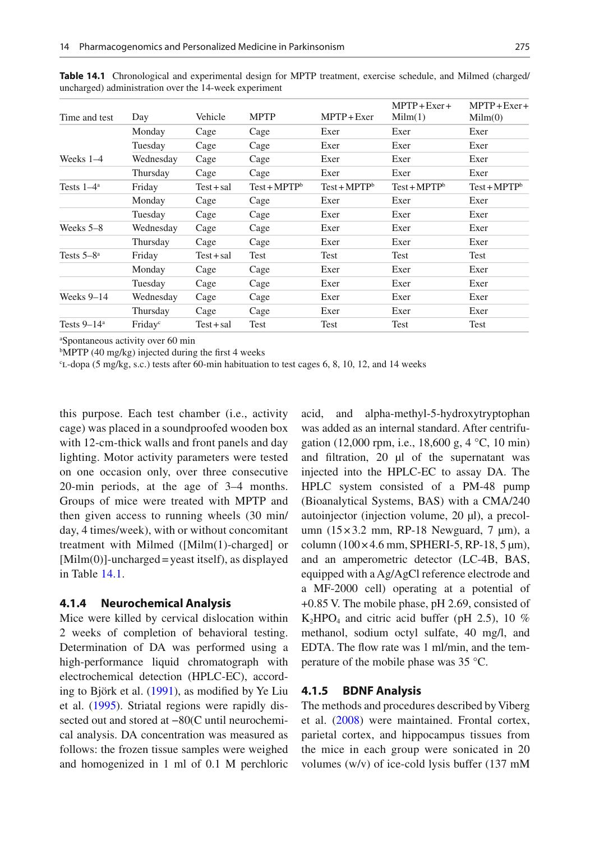| Time and test  | Day                 | Vehicle      | <b>MPTP</b>    | $MPTP + Exer$ | $MPTP + Exer +$<br>Milm(1) | $MPTP + Exer +$<br>Milm(0) |
|----------------|---------------------|--------------|----------------|---------------|----------------------------|----------------------------|
|                | Monday              | Cage         | Cage           | Exer          | Exer                       | Exer                       |
|                | Tuesday             | Cage         | Cage           | Exer          | Exer                       | Exer                       |
| Weeks $1-4$    | Wednesday           | Cage         | Cage           | Exer          | Exer                       | Exer                       |
|                | Thursday            | Cage         | Cage           | Exer          | Exer                       | Exer                       |
| Tests $1-4^a$  | Friday              | $Test + sal$ | $Test + MPTPb$ | $Test+MPTPb$  | $Test + MPTPb$             | $Test + MPTPb$             |
|                | Monday              | Cage         | Cage           | Exer          | Exer                       | Exer                       |
|                | Tuesday             | Cage         | Cage           | Exer          | Exer                       | Exer                       |
| Weeks $5-8$    | Wednesday           | Cage         | Cage           | Exer          | Exer                       | Exer                       |
|                | Thursday            | Cage         | Cage           | Exer          | Exer                       | Exer                       |
| Tests $5-8^a$  | Friday              | $Test + sal$ | Test           | Test          | Test                       | Test                       |
|                | Monday              | Cage         | Cage           | Exer          | Exer                       | Exer                       |
|                | Tuesday             | Cage         | Cage           | Exer          | Exer                       | Exer                       |
| Weeks $9-14$   | Wednesday           | Cage         | Cage           | Exer          | Exer                       | Exer                       |
|                | Thursday            | Cage         | Cage           | Exer          | Exer                       | Exer                       |
| Tests $9-14^a$ | Friday <sup>c</sup> | $Test + sal$ | Test           | Test          | Test                       | Test                       |

 **Table 14.1** Chronological and experimental design for MPTP treatment, exercise schedule, and Milmed (charged/ uncharged) administration over the 14-week experiment

a Spontaneous activity over 60 min

 $b_{\text{MPTP}}$  (40 mg/kg) injected during the first 4 weeks<br><sup>ex</sup>-doma (5 mg/kg, s.c.) tests after 60-min habituation

 $c_{\text{L-dopa}}$  (5 mg/kg, s.c.) tests after 60-min habituation to test cages 6, 8, 10, 12, and 14 weeks

this purpose. Each test chamber (i.e., activity cage) was placed in a soundproofed wooden box with 12-cm-thick walls and front panels and day lighting. Motor activity parameters were tested on one occasion only, over three consecutive 20-min periods, at the age of 3–4 months. Groups of mice were treated with MPTP and then given access to running wheels (30 min/ day, 4 times/week), with or without concomitant treatment with Milmed ([Milm(1)-charged] or  $[Milm(0)]$ -uncharged = yeast itself), as displayed in Table 14.1.

#### **4.1.4 Neurochemical Analysis**

 Mice were killed by cervical dislocation within 2 weeks of completion of behavioral testing. Determination of DA was performed using a high-performance liquid chromatograph with electrochemical detection (HPLC-EC), according to Björk et al. (1991), as modified by Ye Liu et al. (1995). Striatal regions were rapidly dissected out and stored at −80(C until neurochemical analysis. DA concentration was measured as follows: the frozen tissue samples were weighed and homogenized in 1 ml of 0.1 M perchloric

acid, and alpha-methyl-5-hydroxytryptophan was added as an internal standard. After centrifugation (12,000 rpm, i.e., 18,600 g, 4 °C, 10 min) and filtration,  $20 \mu l$  of the supernatant was injected into the HPLC-EC to assay DA. The HPLC system consisted of a PM-48 pump (Bioanalytical Systems, BAS) with a CMA/240 autoinjector (injection volume, 20 µl), a precolumn  $(15 \times 3.2 \text{ mm}, \text{ RP-18} \text{ Newguard}, 7 \text{ µm})$ , a column  $(100 \times 4.6$  mm, SPHERI-5, RP-18, 5  $\mu$ m), and an amperometric detector (LC-4B, BAS, equipped with a Ag/AgCl reference electrode and a MF-2000 cell) operating at a potential of +0.85 V. The mobile phase, pH 2.69, consisted of  $K_2 HPO_4$  and citric acid buffer (pH 2.5), 10 % methanol, sodium octyl sulfate, 40 mg/l, and EDTA. The flow rate was 1 ml/min, and the temperature of the mobile phase was 35 °C.

#### **4.1.5 BDNF Analysis**

 The methods and procedures described by Viberg et al. (2008) were maintained. Frontal cortex, parietal cortex, and hippocampus tissues from the mice in each group were sonicated in 20 volumes (w/v) of ice-cold lysis buffer (137 mM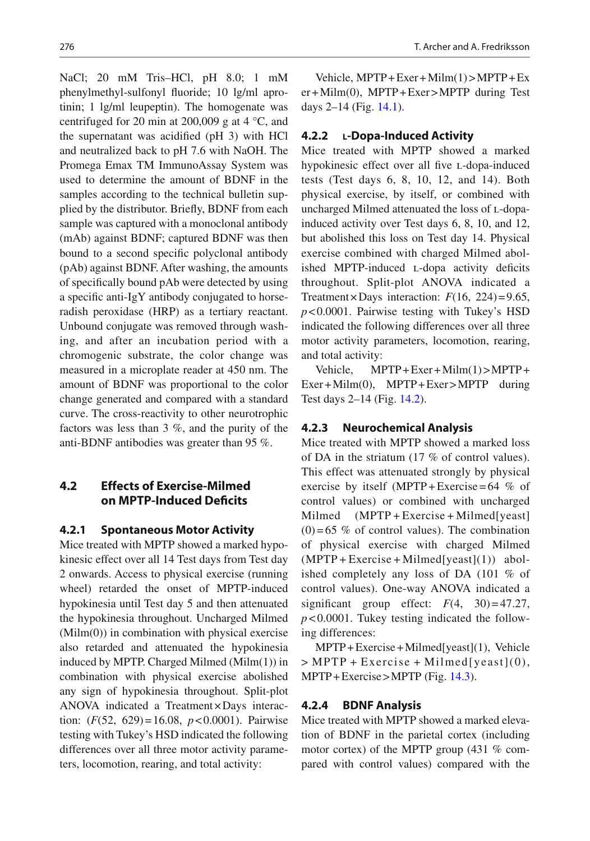NaCl; 20 mM Tris–HCl, pH 8.0; 1 mM phenylmethyl-sulfonyl fluoride; 10 lg/ml aprotinin; 1 lg/ml leupeptin). The homogenate was centrifuged for 20 min at 200,009 g at 4 °C, and the supernatant was acidified  $(pH_3)$  with HCl and neutralized back to pH 7.6 with NaOH. The Promega Emax TM ImmunoAssay System was used to determine the amount of BDNF in the samples according to the technical bulletin supplied by the distributor. Briefly, BDNF from each sample was captured with a monoclonal antibody (mAb) against BDNF; captured BDNF was then bound to a second specific polyclonal antibody (pAb) against BDNF. After washing, the amounts of specifically bound pAb were detected by using a specific anti-IgY antibody conjugated to horseradish peroxidase (HRP) as a tertiary reactant. Unbound conjugate was removed through washing, and after an incubation period with a chromogenic substrate, the color change was measured in a microplate reader at 450 nm. The amount of BDNF was proportional to the color change generated and compared with a standard curve. The cross-reactivity to other neurotrophic factors was less than 3 %, and the purity of the anti-BDNF antibodies was greater than 95 %.

# **4.2 Effects of Exercise-Milmed on MPTP-Induced Deficits**

#### **4.2.1 Spontaneous Motor Activity**

 Mice treated with MPTP showed a marked hypokinesic effect over all 14 Test days from Test day 2 onwards. Access to physical exercise (running wheel) retarded the onset of MPTP-induced hypokinesia until Test day 5 and then attenuated the hypokinesia throughout. Uncharged Milmed (Milm(0)) in combination with physical exercise also retarded and attenuated the hypokinesia induced by MPTP. Charged Milmed (Milm(1)) in combination with physical exercise abolished any sign of hypokinesia throughout. Split-plot ANOVA indicated a Treatment × Days interaction:  $(F(52, 629) = 16.08, p < 0.0001)$ . Pairwise testing with Tukey's HSD indicated the following differences over all three motor activity parameters, locomotion, rearing, and total activity:

Vehicle,  $MPTP + Exer + Milm(1) > MPTP + Ex$ er + Milm(0), MPTP + Exer > MPTP during Test days  $2-14$  (Fig. [14.1](#page-12-0)).

#### **4.2.2 L -Dopa-Induced Activity**

 Mice treated with MPTP showed a marked hypokinesic effect over all five L-dopa-induced tests (Test days 6, 8, 10, 12, and 14). Both physical exercise, by itself, or combined with uncharged Milmed attenuated the loss of L-dopainduced activity over Test days 6, 8, 10, and 12, but abolished this loss on Test day 14. Physical exercise combined with charged Milmed abolished MPTP-induced L-dopa activity deficits throughout. Split-plot ANOVA indicated a Treatment  $\times$  Days interaction:  $F(16, 224) = 9.65$ , *p* < 0.0001. Pairwise testing with Tukey's HSD indicated the following differences over all three motor activity parameters, locomotion, rearing, and total activity:

Vehicle,  $MPTP + Exer + Milm(1) > MPTP +$ Exer + Milm(0), MPTP + Exer > MPTP during Test days 2–14 (Fig. [14.2](#page-13-0)).

#### **4.2.3 Neurochemical Analysis**

 Mice treated with MPTP showed a marked loss of DA in the striatum (17 % of control values). This effect was attenuated strongly by physical exercise by itself  $(MPTP + Exercise = 64 %$  of control values) or combined with uncharged Milmed (MPTP + Exercise + Milmed[yeast]  $(0) = 65$  % of control values). The combination of physical exercise with charged Milmed  $(MPTP + Exercise + Milmed[yeast](1))$  abolished completely any loss of DA (101 % of control values). One-way ANOVA indicated a significant group effect:  $F(4, 30) = 47.27$ ,  $p$ <0.0001. Tukey testing indicated the following differences:

 MPTP + Exercise + Milmed[yeast](1), Vehicle  $> \text{MPTP} + \text{Exercise} + \text{Milmed}[\text{yeast}](0),$  $MPTP + Exercise > MPTP$  (Fig. [14.3](#page-14-0)).

### **4.2.4 BDNF Analysis**

 Mice treated with MPTP showed a marked elevation of BDNF in the parietal cortex (including motor cortex) of the MPTP group (431 % compared with control values) compared with the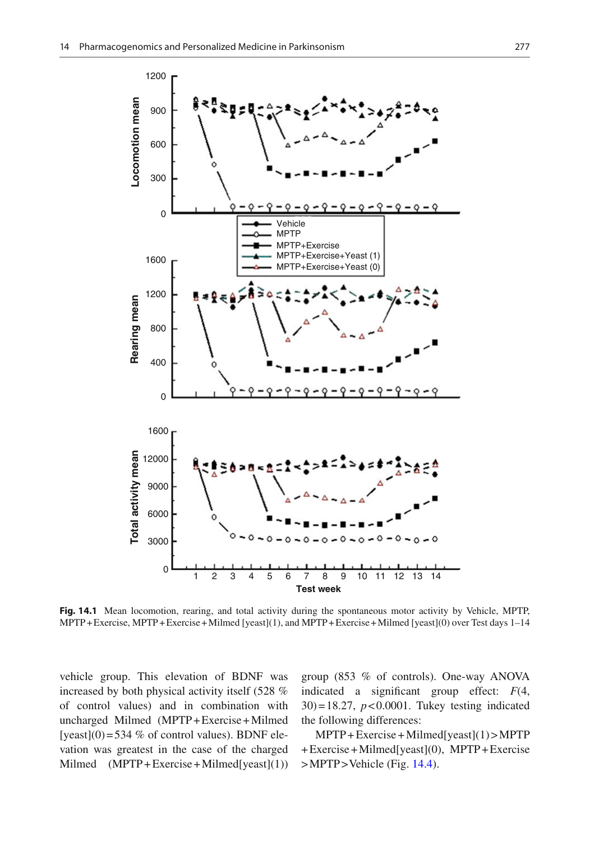<span id="page-12-0"></span>

Fig. 14.1 Mean locomotion, rearing, and total activity during the spontaneous motor activity by Vehicle, MPTP, MPTP + Exercise, MPTP + Exercise + Milmed [yeast](1), and MPTP + Exercise + Milmed [yeast](0) over Test days 1–14

vehicle group. This elevation of BDNF was increased by both physical activity itself (528 % of control values) and in combination with uncharged Milmed (MPTP + Exercise + Milmed [yeast] $(0) = 534\%$  of control values). BDNF elevation was greatest in the case of the charged Milmed  $(MPTP + Exercise + Milmed[yeast](1))$  group (853 % of controls). One-way ANOVA indicated a significant group effect:  $F(4, 4)$ 30) = 18.27, *p* < 0.0001. Tukey testing indicated the following differences:

 MPTP + Exercise + Milmed[yeast](1) > MPTP + Exercise + Milmed[yeast](0), MPTP + Exercise > MPTP > Vehicle (Fig. [14.4](#page-14-0) ).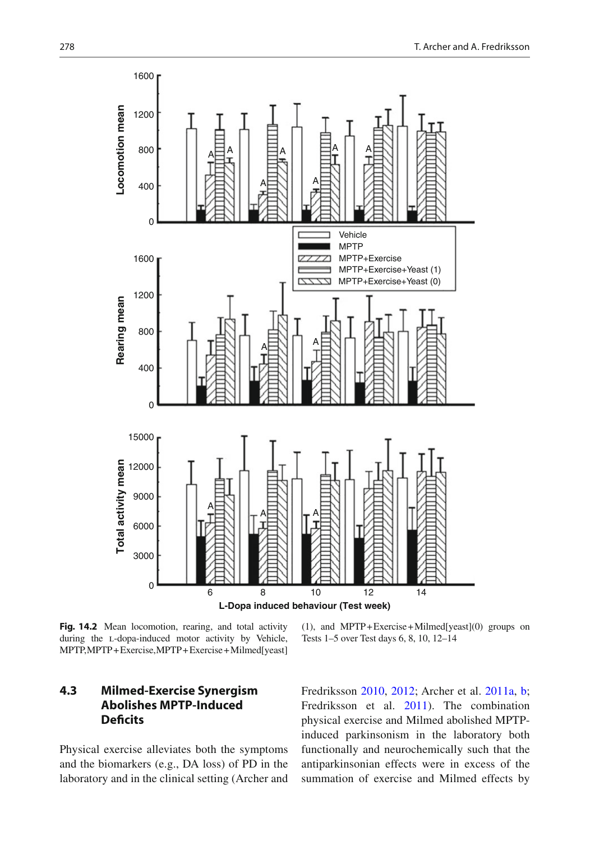<span id="page-13-0"></span>

 **Fig. 14.2** Mean locomotion, rearing, and total activity during the L-dopa-induced motor activity by Vehicle, MPTP, MPTP + Exercise, MPTP + Exercise + Milmed[yeast]

(1), and MPTP + Exercise + Milmed[yeast](0) groups on Tests 1–5 over Test days 6, 8, 10, 12–14

# **4.3 Milmed-Exercise Synergism Abolishes MPTP-Induced Defi cits**

 Physical exercise alleviates both the symptoms and the biomarkers (e.g., DA loss) of PD in the laboratory and in the clinical setting (Archer and Fredriksson [2010](#page-16-0), [2012](#page-16-0); Archer et al. 2011a, b; Fredriksson et al. [2011](#page-17-0)). The combination physical exercise and Milmed abolished MPTPinduced parkinsonism in the laboratory both functionally and neurochemically such that the antiparkinsonian effects were in excess of the summation of exercise and Milmed effects by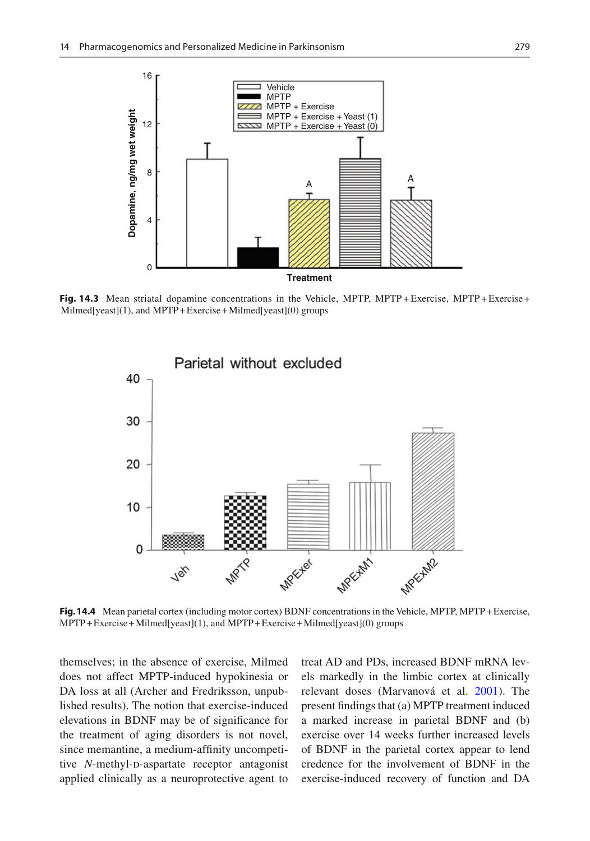<span id="page-14-0"></span>

 **Fig. 14.3** Mean striatal dopamine concentrations in the Vehicle, MPTP, MPTP + Exercise, MPTP + Exercise + Milmed[yeast](1), and MPTP + Exercise + Milmed[yeast](0) groups



 **Fig. 14.4** Mean parietal cortex (including motor cortex) BDNF concentrations in the Vehicle, MPTP, MPTP + Exercise, MPTP + Exercise + Milmed[yeast](1), and MPTP + Exercise + Milmed[yeast](0) groups

themselves; in the absence of exercise, Milmed does not affect MPTP-induced hypokinesia or DA loss at all (Archer and Fredriksson, unpublished results). The notion that exercise-induced elevations in BDNF may be of significance for the treatment of aging disorders is not novel, since memantine, a medium-affinity uncompetitive *N*-methyl-D-aspartate receptor antagonist applied clinically as a neuroprotective agent to treat AD and PDs, increased BDNF mRNA levels markedly in the limbic cortex at clinically relevant doses (Marvanová et al. 2001). The present findings that (a) MPTP treatment induced a marked increase in parietal BDNF and (b) exercise over 14 weeks further increased levels of BDNF in the parietal cortex appear to lend credence for the involvement of BDNF in the exercise- induced recovery of function and DA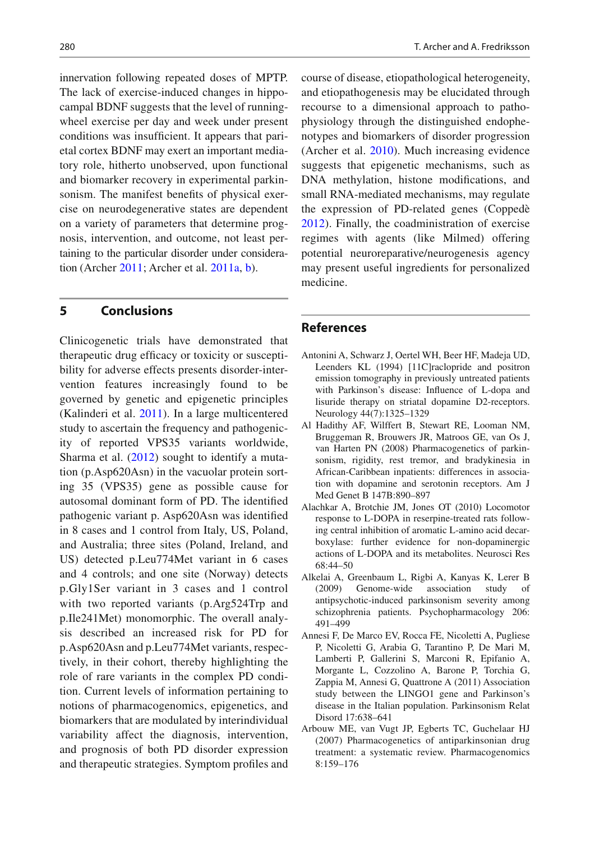<span id="page-15-0"></span>innervation following repeated doses of MPTP. The lack of exercise-induced changes in hippocampal BDNF suggests that the level of runningwheel exercise per day and week under present conditions was insufficient. It appears that parietal cortex BDNF may exert an important mediatory role, hitherto unobserved, upon functional and biomarker recovery in experimental parkinsonism. The manifest benefits of physical exercise on neurodegenerative states are dependent on a variety of parameters that determine prognosis, intervention, and outcome, not least pertaining to the particular disorder under consideration (Archer  $2011$ ; Archer et al.  $2011a$ , [b](#page-16-0)).

#### **5 Conclusions**

 Clinicogenetic trials have demonstrated that therapeutic drug efficacy or toxicity or susceptibility for adverse effects presents disorder-intervention features increasingly found to be governed by genetic and epigenetic principles (Kalinderi et al.  $2011$ ). In a large multicentered study to ascertain the frequency and pathogenicity of reported VPS35 variants worldwide, Sharma et al.  $(2012)$  sought to identify a mutation (p.Asp620Asn) in the vacuolar protein sorting 35 (VPS35) gene as possible cause for autosomal dominant form of PD. The identified pathogenic variant p. Asp620Asn was identified in 8 cases and 1 control from Italy, US, Poland, and Australia; three sites (Poland, Ireland, and US) detected p.Leu774Met variant in 6 cases and 4 controls; and one site (Norway) detects p.Gly1Ser variant in 3 cases and 1 control with two reported variants (p.Arg524Trp and p.Ile241Met) monomorphic. The overall analysis described an increased risk for PD for p.Asp620Asn and p.Leu774Met variants, respectively, in their cohort, thereby highlighting the role of rare variants in the complex PD condition. Current levels of information pertaining to notions of pharmacogenomics, epigenetics, and biomarkers that are modulated by interindividual variability affect the diagnosis, intervention, and prognosis of both PD disorder expression and therapeutic strategies. Symptom profiles and

course of disease, etiopathological heterogeneity, and etiopathogenesis may be elucidated through recourse to a dimensional approach to pathophysiology through the distinguished endophenotypes and biomarkers of disorder progression (Archer et al.  $2010$ ). Much increasing evidence suggests that epigenetic mechanisms, such as DNA methylation, histone modifications, and small RNA-mediated mechanisms, may regulate the expression of PD-related genes (Coppedè [2012](#page-17-0)). Finally, the coadministration of exercise regimes with agents (like Milmed) offering potential neuroreparative/neurogenesis agency may present useful ingredients for personalized medicine.

#### **References**

- Antonini A, Schwarz J, Oertel WH, Beer HF, Madeja UD, Leenders KL (1994) [11C]raclopride and positron emission tomography in previously untreated patients with Parkinson's disease: Influence of L-dopa and lisuride therapy on striatal dopamine D2-receptors. Neurology 44(7):1325–1329
- Al Hadithy AF, Wilffert B, Stewart RE, Looman NM, Bruggeman R, Brouwers JR, Matroos GE, van Os J, van Harten PN (2008) Pharmacogenetics of parkinsonism, rigidity, rest tremor, and bradykinesia in African-Caribbean inpatients: differences in association with dopamine and serotonin receptors. Am J Med Genet B 147B:890–897
- Alachkar A, Brotchie JM, Jones OT (2010) Locomotor response to L-DOPA in reserpine-treated rats following central inhibition of aromatic L-amino acid decarboxylase: further evidence for non-dopaminergic actions of L-DOPA and its metabolites. Neurosci Res 68:44–50
- Alkelai A, Greenbaum L, Rigbi A, Kanyas K, Lerer B (2009) Genome-wide association study of antipsychotic- induced parkinsonism severity among schizophrenia patients. Psychopharmacology 206: 491–499
- Annesi F, De Marco EV, Rocca FE, Nicoletti A, Pugliese P, Nicoletti G, Arabia G, Tarantino P, De Mari M, Lamberti P, Gallerini S, Marconi R, Epifanio A, Morgante L, Cozzolino A, Barone P, Torchia G, Zappia M, Annesi G, Quattrone A (2011) Association study between the LINGO1 gene and Parkinson's disease in the Italian population. Parkinsonism Relat Disord 17:638–641
- Arbouw ME, van Vugt JP, Egberts TC, Guchelaar HJ (2007) Pharmacogenetics of antiparkinsonian drug treatment: a systematic review. Pharmacogenomics 8:159–176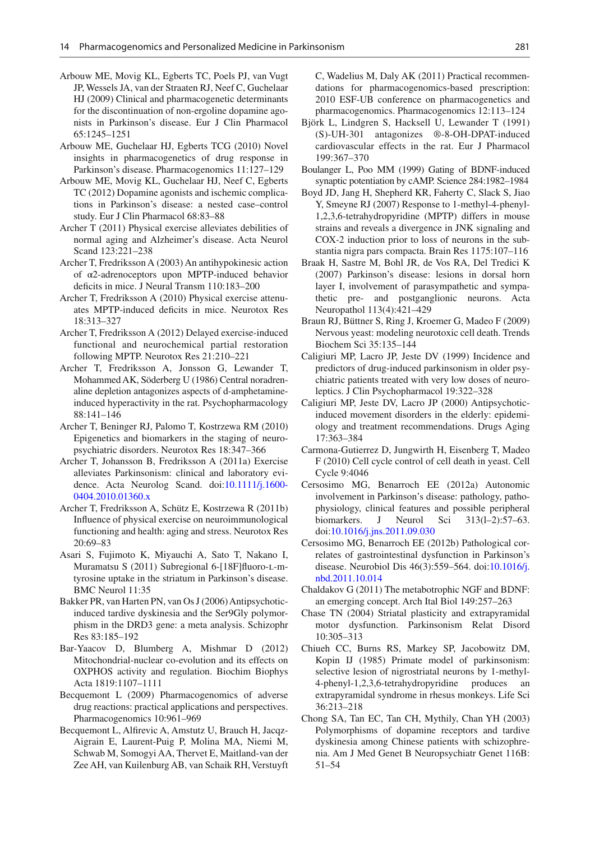- <span id="page-16-0"></span> Arbouw ME, Movig KL, Egberts TC, Poels PJ, van Vugt JP, Wessels JA, van der Straaten RJ, Neef C, Guchelaar HJ (2009) Clinical and pharmacogenetic determinants for the discontinuation of non-ergoline dopamine agonists in Parkinson's disease. Eur J Clin Pharmacol 65:1245–1251
- Arbouw ME, Guchelaar HJ, Egberts TCG (2010) Novel insights in pharmacogenetics of drug response in Parkinson's disease. Pharmacogenomics 11:127–129
- Arbouw ME, Movig KL, Guchelaar HJ, Neef C, Egberts TC (2012) Dopamine agonists and ischemic complications in Parkinson's disease: a nested case–control study. Eur J Clin Pharmacol 68:83–88
- Archer T (2011) Physical exercise alleviates debilities of normal aging and Alzheimer's disease. Acta Neurol Scand 123:221–238
- Archer T, Fredriksson A (2003) An antihypokinesic action of α2-adrenoceptors upon MPTP-induced behavior deficits in mice. J Neural Transm 110:183-200
- Archer T, Fredriksson A (2010) Physical exercise attenuates MPTP-induced deficits in mice. Neurotox Res 18:313–327
- Archer T, Fredriksson A (2012) Delayed exercise-induced functional and neurochemical partial restoration following MPTP. Neurotox Res 21:210–221
- Archer T, Fredriksson A, Jonsson G, Lewander T, Mohammed AK, Söderberg U (1986) Central noradrenaline depletion antagonizes aspects of d-amphetamineinduced hyperactivity in the rat. Psychopharmacology 88:141–146
- Archer T, Beninger RJ, Palomo T, Kostrzewa RM (2010) Epigenetics and biomarkers in the staging of neuropsychiatric disorders. Neurotox Res 18:347–366
- Archer T, Johansson B, Fredriksson A (2011a) Exercise alleviates Parkinsonism: clinical and laboratory evidence. Acta Neurolog Scand. doi[:10.1111/j.1600-](http://dx.doi.org/10.1111/j.1600-0404.2010.01360.x) 0404.2010.01360.x
- Archer T, Fredriksson A, Schütz E, Kostrzewa R (2011b) Influence of physical exercise on neuroimmunological functioning and health: aging and stress. Neurotox Res 20:69–83
- Asari S, Fujimoto K, Miyauchi A, Sato T, Nakano I, Muramatsu S (2011) Subregional 6-[18F]fluoro-L-mtyrosine uptake in the striatum in Parkinson's disease. BMC Neurol 11:35
- Bakker PR, van Harten PN, van Os J (2006) Antipsychoticinduced tardive dyskinesia and the Ser9Gly polymorphism in the DRD3 gene: a meta analysis. Schizophr Res 83:185–192
- Bar-Yaacov D, Blumberg A, Mishmar D (2012) Mitochondrial-nuclear co-evolution and its effects on OXPHOS activity and regulation. Biochim Biophys Acta 1819:1107–1111
- Becquemont L (2009) Pharmacogenomics of adverse drug reactions: practical applications and perspectives. Pharmacogenomics 10:961–969
- Becquemont L, Alfirevic A, Amstutz U, Brauch H, Jacqz-Aigrain E, Laurent-Puig P, Molina MA, Niemi M, Schwab M, Somogyi AA, Thervet E, Maitland-van der Zee AH, van Kuilenburg AB, van Schaik RH, Verstuyft

C, Wadelius M, Daly AK (2011) Practical recommendations for pharmacogenomics-based prescription: 2010 ESF-UB conference on pharmacogenetics and pharmacogenomics. Pharmacogenomics 12:113–124

- Björk L, Lindgren S, Hacksell U, Lewander T (1991) (S)-UH-301 antagonizes ®-8-OH-DPAT-induced cardiovascular effects in the rat. Eur J Pharmacol 199:367–370
- Boulanger L, Poo MM (1999) Gating of BDNF-induced synaptic potentiation by cAMP. Science 284:1982–1984
- Boyd JD, Jang H, Shepherd KR, Faherty C, Slack S, Jiao Y, Smeyne RJ (2007) Response to 1-methyl-4-phenyl-1,2,3,6-tetrahydropyridine (MPTP) differs in mouse strains and reveals a divergence in JNK signaling and COX-2 induction prior to loss of neurons in the substantia nigra pars compacta. Brain Res 1175:107–116
- Braak H, Sastre M, Bohl JR, de Vos RA, Del Tredici K (2007) Parkinson's disease: lesions in dorsal horn layer I, involvement of parasympathetic and sympathetic pre- and postganglionic neurons. Acta Neuropathol 113(4):421–429
- Braun RJ, Büttner S, Ring J, Kroemer G, Madeo F (2009) Nervous yeast: modeling neurotoxic cell death. Trends Biochem Sci 35:135–144
- Caligiuri MP, Lacro JP, Jeste DV (1999) Incidence and predictors of drug-induced parkinsonism in older psychiatric patients treated with very low doses of neuroleptics. J Clin Psychopharmacol 19:322–328
- Caligiuri MP, Jeste DV, Lacro JP (2000) Antipsychoticinduced movement disorders in the elderly: epidemiology and treatment recommendations. Drugs Aging 17:363–384
- Carmona-Gutierrez D, Jungwirth H, Eisenberg T, Madeo F (2010) Cell cycle control of cell death in yeast. Cell Cycle 9:4046
- Cersosimo MG, Benarroch EE (2012a) Autonomic involvement in Parkinson's disease: pathology, pathophysiology, clinical features and possible peripheral biomarkers. J Neurol Sci 313(1-2):57–63. doi[:10.1016/j.jns.2011.09.030](http://dx.doi.org/10.1016/j.jns.2011.09.030)
- Cersosimo MG, Benarroch EE (2012b) Pathological correlates of gastrointestinal dysfunction in Parkinson's disease. Neurobiol Dis 46(3):559–564. doi[:10.1016/j.](http://dx.doi.org/10.1016/j.nbd.2011.10.014) [nbd.2011.10.014](http://dx.doi.org/10.1016/j.nbd.2011.10.014)
- Chaldakov G (2011) The metabotrophic NGF and BDNF: an emerging concept. Arch Ital Biol 149:257–263
- Chase TN (2004) Striatal plasticity and extrapyramidal motor dysfunction. Parkinsonism Relat Disord 10:305–313
- Chiueh CC, Burns RS, Markey SP, Jacobowitz DM, Kopin IJ (1985) Primate model of parkinsonism: selective lesion of nigrostriatal neurons by 1-methyl-4-phenyl-1,2,3,6-tetrahydropyridine produces an extrapyramidal syndrome in rhesus monkeys. Life Sci 36:213–218
- Chong SA, Tan EC, Tan CH, Mythily, Chan YH (2003) Polymorphisms of dopamine receptors and tardive dyskinesia among Chinese patients with schizophrenia. Am J Med Genet B Neuropsychiatr Genet 116B: 51–54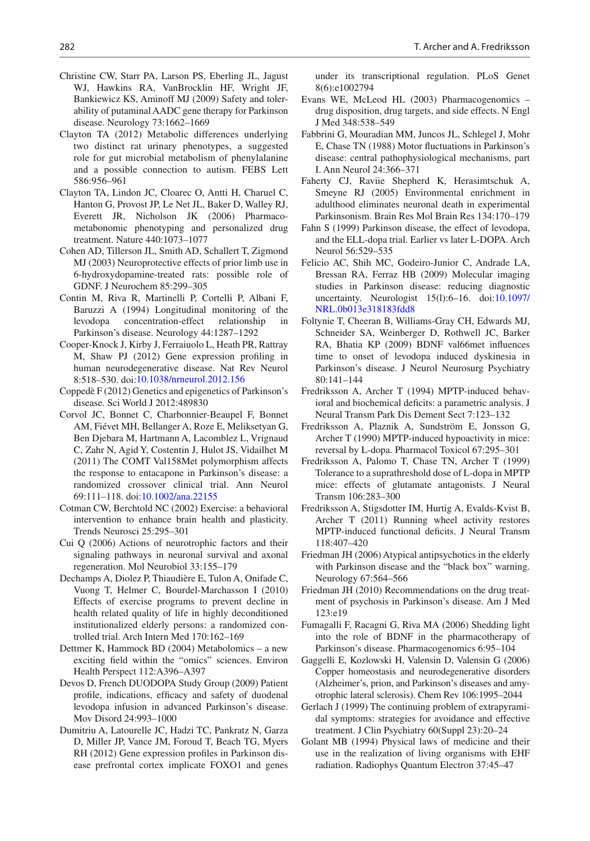- <span id="page-17-0"></span> Christine CW, Starr PA, Larson PS, Eberling JL, Jagust WJ, Hawkins RA, VanBrocklin HF, Wright JF, Bankiewicz KS, Aminoff MJ (2009) Safety and tolerability of putaminal AADC gene therapy for Parkinson disease. Neurology 73:1662–1669
- Clayton TA (2012) Metabolic differences underlying two distinct rat urinary phenotypes, a suggested role for gut microbial metabolism of phenylalanine and a possible connection to autism. FEBS Lett 586:956–961
- Clayton TA, Lindon JC, Cloarec O, Antti H, Charuel C, Hanton G, Provost JP, Le Net JL, Baker D, Walley RJ, Everett JR, Nicholson JK (2006) Pharmacometabonomic phenotyping and personalized drug treatment. Nature 440:1073–1077
- Cohen AD, Tillerson JL, Smith AD, Schallert T, Zigmond MJ (2003) Neuroprotective effects of prior limb use in 6-hydroxydopamine-treated rats: possible role of GDNF. J Neurochem 85:299–305
- Contin M, Riva R, Martinelli P, Cortelli P, Albani F, Baruzzi A (1994) Longitudinal monitoring of the levodopa concentration-effect relationship in Parkinson's disease. Neurology 44:1287–1292
- Cooper-Knock J, Kirby J, Ferraiuolo L, Heath PR, Rattray M, Shaw PJ (2012) Gene expression profiling in human neurodegenerative disease. Nat Rev Neurol 8:518–530. doi:[10.1038/nrneurol.2012.156](http://dx.doi.org/10.1038/nrneurol.2012.156)
- Coppedè F (2012) Genetics and epigenetics of Parkinson's disease. Sci World J 2012:489830
- Corvol JC, Bonnet C, Charbonnier-Beaupel F, Bonnet AM, Fiévet MH, Bellanger A, Roze E, Meliksetyan G, Ben Djebara M, Hartmann A, Lacomblez L, Vrignaud C, Zahr N, Agid Y, Costentin J, Hulot JS, Vidailhet M (2011) The COMT Val158Met polymorphism affects the response to entacapone in Parkinson's disease: a randomized crossover clinical trial. Ann Neurol 69:111–118. doi[:10.1002/ana.22155](http://dx.doi.org/10.1002/ana.22155)
- Cotman CW, Berchtold NC (2002) Exercise: a behavioral intervention to enhance brain health and plasticity. Trends Neurosci 25:295–301
- Cui Q (2006) Actions of neurotrophic factors and their signaling pathways in neuronal survival and axonal regeneration. Mol Neurobiol 33:155–179
- Dechamps A, Diolez P, Thiaudière E, Tulon A, Onifade C, Vuong T, Helmer C, Bourdel-Marchasson I (2010) Effects of exercise programs to prevent decline in health related quality of life in highly deconditioned institutionalized elderly persons: a randomized controlled trial. Arch Intern Med 170:162–169
- Dettmer K, Hammock BD (2004) Metabolomics a new exciting field within the "omics" sciences. Environ Health Perspect 112:A396–A397
- Devos D, French DUODOPA Study Group (2009) Patient profile, indications, efficacy and safety of duodenal levodopa infusion in advanced Parkinson's disease. Mov Disord 24:993–1000
- Dumitriu A, Latourelle JC, Hadzi TC, Pankratz N, Garza D, Miller JP, Vance JM, Foroud T, Beach TG, Myers RH (2012) Gene expression profiles in Parkinson disease prefrontal cortex implicate FOXO1 and genes

under its transcriptional regulation. PLoS Genet 8(6):e1002794

- Evans WE, McLeod HL (2003) Pharmacogenomics drug disposition, drug targets, and side effects. N Engl J Med 348:538–549
- Fabbrini G, Mouradian MM, Juncos JL, Schlegel J, Mohr E, Chase TN (1988) Motor fluctuations in Parkinson's disease: central pathophysiological mechanisms, part I. Ann Neurol 24:366–371
- Faherty CJ, Raviie Shepherd K, Herasimtschuk A, Smeyne RJ (2005) Environmental enrichment in adulthood eliminates neuronal death in experimental Parkinsonism. Brain Res Mol Brain Res 134:170–179
- Fahn S (1999) Parkinson disease, the effect of levodopa, and the ELL-dopa trial. Earlier vs later L-DOPA. Arch Neurol 56:529–535
- Felicio AC, Shih MC, Godeiro-Junior C, Andrade LA, Bressan RA, Ferraz HB (2009) Molecular imaging studies in Parkinson disease: reducing diagnostic uncertainty. Neurologist 15(l):6–16. doi:[10.1097/](http://dx.doi.org/10.1097/NRL.0b013e318183fdd8) [NRL.0b013e318183fdd8](http://dx.doi.org/10.1097/NRL.0b013e318183fdd8)
- Foltynie T, Cheeran B, Williams-Gray CH, Edwards MJ, Schneider SA, Weinberger D, Rothwell JC, Barker RA, Bhatia KP (2009) BDNF val66met influences time to onset of levodopa induced dyskinesia in Parkinson's disease. J Neurol Neurosurg Psychiatry 80:141–144
- Fredriksson A, Archer T (1994) MPTP-induced behavioral and biochemical deficits: a parametric analysis. J Neural Transm Park Dis Dement Sect 7:123–132
- Fredriksson A, Plaznik A, Sundström E, Jonsson G, Archer T (1990) MPTP-induced hypoactivity in mice: reversal by L-dopa. Pharmacol Toxicol 67:295–301
- Fredriksson A, Palomo T, Chase TN, Archer T (1999) Tolerance to a suprathreshold dose of L-dopa in MPTP mice: effects of glutamate antagonists. J Neural Transm 106:283–300
- Fredriksson A, Stigsdotter IM, Hurtig A, Evalds-Kvist B, Archer T (2011) Running wheel activity restores MPTP-induced functional deficits. J Neural Transm 118:407–420
- Friedman JH (2006) Atypical antipsychotics in the elderly with Parkinson disease and the "black box" warning. Neurology 67:564–566
- Friedman JH (2010) Recommendations on the drug treatment of psychosis in Parkinson's disease. Am J Med 123:e19
- Fumagalli F, Racagni G, Riva MA (2006) Shedding light into the role of BDNF in the pharmacotherapy of Parkinson's disease. Pharmacogenomics 6:95–104
- Gaggelli E, Kozlowski H, Valensin D, Valensin G (2006) Copper homeostasis and neurodegenerative disorders (Alzheimer's, prion, and Parkinson's diseases and amyotrophic lateral sclerosis). Chem Rev 106:1995–2044
- Gerlach J (1999) The continuing problem of extrapyramidal symptoms: strategies for avoidance and effective treatment. J Clin Psychiatry 60(Suppl 23):20–24
- Golant MB (1994) Physical laws of medicine and their use in the realization of living organisms with EHF radiation. Radiophys Quantum Electron 37:45–47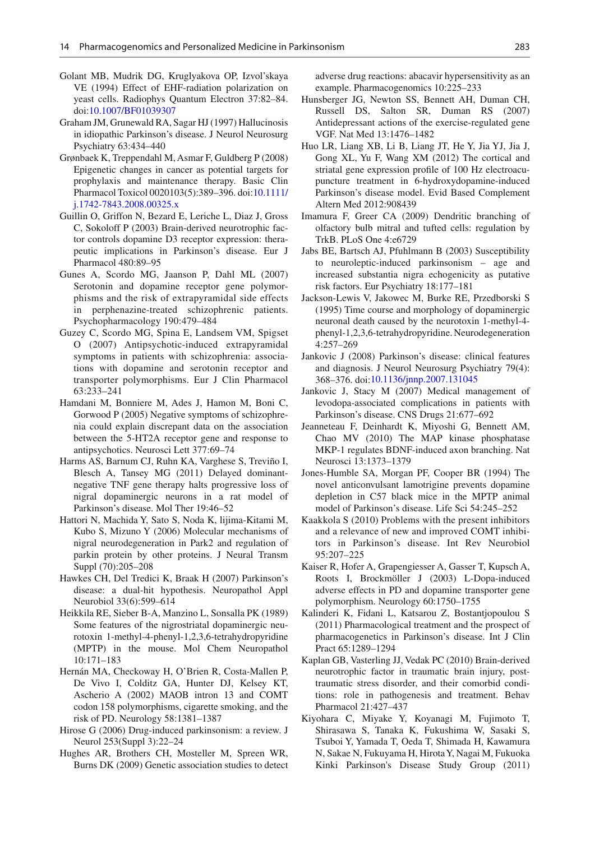- <span id="page-18-0"></span> Golant MB, Mudrik DG, Kruglyakova OP, Izvol'skaya VE (1994) Effect of EHF-radiation polarization on yeast cells. Radiophys Quantum Electron 37:82–84. doi[:10.1007/BF01039307](http://dx.doi.org/10.1007/BF01039307)
- Graham JM, Grunewald RA, Sagar HJ (1997) Hallucinosis in idiopathic Parkinson's disease. J Neurol Neurosurg Psychiatry 63:434–440
- Grønbaek K, Treppendahl M, Asmar F, Guldberg P (2008) Epigenetic changes in cancer as potential targets for prophylaxis and maintenance therapy. Basic Clin Pharmacol Toxicol 0020103(5):389–396. doi:[10.1111/](http://dx.doi.org/10.1111/j.1742-7843.2008.00325.x) [j.1742-7843.2008.00325.x](http://dx.doi.org/10.1111/j.1742-7843.2008.00325.x)
- Guillin O, Griffon N, Bezard E, Leriche L, Diaz J, Gross C, Sokoloff P (2003) Brain-derived neurotrophic factor controls dopamine D3 receptor expression: therapeutic implications in Parkinson's disease. Eur J Pharmacol 480:89–95
- Gunes A, Scordo MG, Jaanson P, Dahl ML (2007) Serotonin and dopamine receptor gene polymorphisms and the risk of extrapyramidal side effects in perphenazine-treated schizophrenic patients. Psychopharmacology 190:479–484
- Guzey C, Scordo MG, Spina E, Landsem VM, Spigset O (2007) Antipsychotic-induced extrapyramidal symptoms in patients with schizophrenia: associations with dopamine and serotonin receptor and transporter polymorphisms. Eur J Clin Pharmacol 63:233–241
- Hamdani M, Bonniere M, Ades J, Hamon M, Boni C, Gorwood P (2005) Negative symptoms of schizophrenia could explain discrepant data on the association between the 5-HT2A receptor gene and response to antipsychotics. Neurosci Lett 377:69–74
- Harms AS, Barnum CJ, Ruhn KA, Varghese S, Treviño I, Blesch A, Tansey MG (2011) Delayed dominantnegative TNF gene therapy halts progressive loss of nigral dopaminergic neurons in a rat model of Parkinson's disease. Mol Ther 19:46–52
- Hattori N, Machida Y, Sato S, Noda K, lijima-Kitami M, Kubo S, Mizuno Y (2006) Molecular mechanisms of nigral neurodegeneration in Park2 and regulation of parkin protein by other proteins. J Neural Transm Suppl (70):205–208
- Hawkes CH, Del Tredici K, Braak H (2007) Parkinson's disease: a dual-hit hypothesis. Neuropathol Appl Neurobiol 33(6):599–614
- Heikkila RE, Sieber B-A, Manzino L, Sonsalla PK (1989) Some features of the nigrostriatal dopaminergic neurotoxin 1-methyl-4-phenyl-1,2,3,6-tetrahydropyridine (MPTP) in the mouse. Mol Chem Neuropathol 10:171–183
- Hernán MA, Checkoway H, O'Brien R, Costa-Mallen P, De Vivo I, Colditz GA, Hunter DJ, Kelsey KT, Ascherio A (2002) MAOB intron 13 and COMT codon 158 polymorphisms, cigarette smoking, and the risk of PD. Neurology 58:1381–1387
- Hirose G (2006) Drug-induced parkinsonism: a review. J Neurol 253(Suppl 3):22–24
- Hughes AR, Brothers CH, Mosteller M, Spreen WR, Burns DK (2009) Genetic association studies to detect

adverse drug reactions: abacavir hypersensitivity as an example. Pharmacogenomics 10:225–233

- Hunsberger JG, Newton SS, Bennett AH, Duman CH, Russell DS, Salton SR, Duman RS (2007) Antidepressant actions of the exercise-regulated gene VGF. Nat Med 13:1476–1482
- Huo LR, Liang XB, Li B, Liang JT, He Y, Jia YJ, Jia J, Gong XL, Yu F, Wang XM (2012) The cortical and striatal gene expression profile of 100 Hz electroacupuncture treatment in 6-hydroxydopamine-induced Parkinson's disease model. Evid Based Complement Altern Med 2012:908439
- Imamura F, Greer CA (2009) Dendritic branching of olfactory bulb mitral and tufted cells: regulation by TrkB. PLoS One 4:e6729
- Jabs BE, Bartsch AJ, Pfuhlmann B (2003) Susceptibility to neuroleptic-induced parkinsonism – age and increased substantia nigra echogenicity as putative risk factors. Eur Psychiatry 18:177–181
- Jackson-Lewis V, Jakowec M, Burke RE, Przedborski S (1995) Time course and morphology of dopaminergic neuronal death caused by the neurotoxin 1-methyl-4phenyl-1,2,3,6-tetrahydropyridine. Neurodegeneration 4:257–269
- Jankovic J (2008) Parkinson's disease: clinical features and diagnosis. J Neurol Neurosurg Psychiatry 79(4): 368–376. doi[:10.1136/jnnp.2007.131045](http://dx.doi.org/10.1136/jnnp.2007.131045)
- Jankovic J, Stacy M (2007) Medical management of levodopa-associated complications in patients with Parkinson's disease. CNS Drugs 21:677–692
- Jeanneteau F, Deinhardt K, Miyoshi G, Bennett AM, Chao MV (2010) The MAP kinase phosphatase MKP-1 regulates BDNF-induced axon branching. Nat Neurosci 13:1373–1379
- Jones-Humble SA, Morgan PF, Cooper BR (1994) The novel anticonvulsant lamotrigine prevents dopamine depletion in C57 black mice in the MPTP animal model of Parkinson's disease. Life Sci 54:245–252
- Kaakkola S (2010) Problems with the present inhibitors and a relevance of new and improved COMT inhibitors in Parkinson's disease. Int Rev Neurobiol 95:207–225
- Kaiser R, Hofer A, Grapengiesser A, Gasser T, Kupsch A, Roots I, Brockmöller J (2003) L-Dopa-induced adverse effects in PD and dopamine transporter gene polymorphism. Neurology 60:1750–1755
- Kalinderi K, Fidani L, Katsarou Z, Bostantjopoulou S (2011) Pharmacological treatment and the prospect of pharmacogenetics in Parkinson's disease. Int J Clin Pract 65:1289–1294
- Kaplan GB, Vasterling JJ, Vedak PC (2010) Brain-derived neurotrophic factor in traumatic brain injury, posttraumatic stress disorder, and their comorbid conditions: role in pathogenesis and treatment. Behav Pharmacol 21:427–437
- Kiyohara C, Miyake Y, Koyanagi M, Fujimoto T, Shirasawa S, Tanaka K, Fukushima W, Sasaki S, Tsuboi Y, Yamada T, Oeda T, Shimada H, Kawamura N, Sakae N, Fukuyama H, Hirota Y, Nagai M, Fukuoka Kinki Parkinson's Disease Study Group (2011)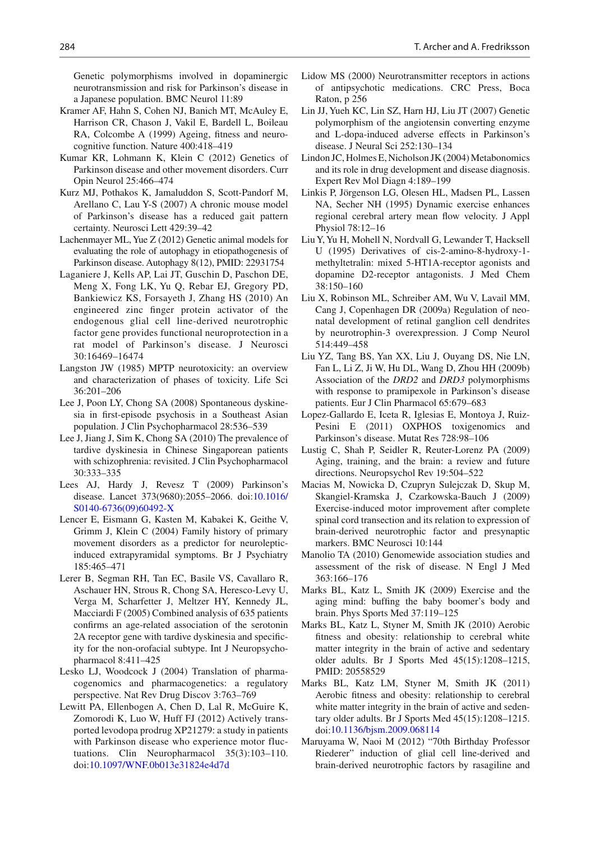<span id="page-19-0"></span>Genetic polymorphisms involved in dopaminergic neurotransmission and risk for Parkinson's disease in a Japanese population. BMC Neurol 11:89

- Kramer AF, Hahn S, Cohen NJ, Banich MT, McAuley E, Harrison CR, Chason J, Vakil E, Bardell L, Boileau RA, Colcombe A (1999) Ageing, fitness and neurocognitive function. Nature 400:418–419
- Kumar KR, Lohmann K, Klein C (2012) Genetics of Parkinson disease and other movement disorders. Curr Opin Neurol 25:466–474
- Kurz MJ, Pothakos K, Jamaluddon S, Scott-Pandorf M, Arellano C, Lau Y-S (2007) A chronic mouse model of Parkinson's disease has a reduced gait pattern certainty. Neurosci Lett 429:39–42
- Lachenmayer ML, Yue Z (2012) Genetic animal models for evaluating the role of autophagy in etiopathogenesis of Parkinson disease. Autophagy 8(12), PMID: 22931754
- Laganiere J, Kells AP, Lai JT, Guschin D, Paschon DE, Meng X, Fong LK, Yu Q, Rebar EJ, Gregory PD, Bankiewicz KS, Forsayeth J, Zhang HS (2010) An engineered zinc finger protein activator of the endogenous glial cell line-derived neurotrophic factor gene provides functional neuroprotection in a rat model of Parkinson's disease. J Neurosci 30:16469–16474
- Langston JW (1985) MPTP neurotoxicity: an overview and characterization of phases of toxicity. Life Sci 36:201–206
- Lee J, Poon LY, Chong SA (2008) Spontaneous dyskinesia in first-episode psychosis in a Southeast Asian population. J Clin Psychopharmacol 28:536–539
- Lee J, Jiang J, Sim K, Chong SA (2010) The prevalence of tardive dyskinesia in Chinese Singaporean patients with schizophrenia: revisited. J Clin Psychopharmacol 30:333–335
- Lees AJ, Hardy J, Revesz T (2009) Parkinson's disease. Lancet 373(9680):2055–2066. doi:[10.1016/](http://dx.doi.org/10.1016/S0140-6736(09)60492-X) [S0140-6736\(09\)60492-X](http://dx.doi.org/10.1016/S0140-6736(09)60492-X)
- Lencer E, Eismann G, Kasten M, Kabakei K, Geithe V, Grimm J, Klein C (2004) Family history of primary movement disorders as a predictor for neurolepticinduced extrapyramidal symptoms. Br J Psychiatry 185:465–471
- Lerer B, Segman RH, Tan EC, Basile VS, Cavallaro R, Aschauer HN, Strous R, Chong SA, Heresco-Levy U, Verga M, Scharfetter J, Meltzer HY, Kennedy JL, Macciardi F (2005) Combined analysis of 635 patients confirms an age-related association of the serotonin 2A receptor gene with tardive dyskinesia and specificity for the non-orofacial subtype. Int J Neuropsychopharmacol 8:411–425
- Lesko LJ, Woodcock J (2004) Translation of pharmacogenomics and pharmacogenetics: a regulatory perspective. Nat Rev Drug Discov 3:763–769
- Lewitt PA, Ellenbogen A, Chen D, Lal R, McGuire K, Zomorodi K, Luo W, Huff FJ (2012) Actively transported levodopa prodrug XP21279: a study in patients with Parkinson disease who experience motor fluctuations. Clin Neuropharmacol 35(3):103–110. doi:[10.1097/WNF.0b013e31824e4d7d](http://dx.doi.org/10.1097/WNF.0b013e31824e4d7d)
- Lidow MS (2000) Neurotransmitter receptors in actions of antipsychotic medications. CRC Press, Boca Raton, p 256
- Lin JJ, Yueh KC, Lin SZ, Harn HJ, Liu JT (2007) Genetic polymorphism of the angiotensin converting enzyme and L-dopa-induced adverse effects in Parkinson's disease. J Neural Sci 252:130–134
- Lindon JC, Holmes E, Nicholson JK (2004) Metabonomics and its role in drug development and disease diagnosis. Expert Rev Mol Diagn 4:189–199
- Linkis P, Jörgenson LG, Olesen HL, Madsen PL, Lassen NA, Secher NH (1995) Dynamic exercise enhances regional cerebral artery mean flow velocity. J Appl Physiol 78:12–16
- Liu Y, Yu H, Mohell N, Nordvall G, Lewander T, Hacksell U (1995) Derivatives of cis-2-amino-8-hydroxy-1 methyltetralin: mixed 5-HT1A-receptor agonists and dopamine D2-receptor antagonists. J Med Chem 38:150–160
- Liu X, Robinson ML, Schreiber AM, Wu V, Lavail MM, Cang J, Copenhagen DR (2009a) Regulation of neonatal development of retinal ganglion cell dendrites by neurotrophin-3 overexpression. J Comp Neurol 514:449–458
- Liu YZ, Tang BS, Yan XX, Liu J, Ouyang DS, Nie LN, Fan L, Li Z, Ji W, Hu DL, Wang D, Zhou HH (2009b) Association of the *DRD2* and *DRD3* polymorphisms with response to pramipexole in Parkinson's disease patients. Eur J Clin Pharmacol 65:679–683
- Lopez-Gallardo E, Iceta R, Iglesias E, Montoya J, Ruiz-Pesini E (2011) OXPHOS toxigenomics and Parkinson's disease. Mutat Res 728:98–106
- Lustig C, Shah P, Seidler R, Reuter-Lorenz PA (2009) Aging, training, and the brain: a review and future directions. Neuropsychol Rev 19:504–522
- Macias M, Nowicka D, Czupryn Sulejczak D, Skup M, Skangiel-Kramska J, Czarkowska-Bauch J (2009) Exercise-induced motor improvement after complete spinal cord transection and its relation to expression of brain-derived neurotrophic factor and presynaptic markers. BMC Neurosci 10:144
- Manolio TA (2010) Genomewide association studies and assessment of the risk of disease. N Engl J Med 363:166–176
- Marks BL, Katz L, Smith JK (2009) Exercise and the aging mind: buffing the baby boomer's body and brain. Phys Sports Med 37:119–125
- Marks BL, Katz L, Styner M, Smith JK (2010) Aerobic fitness and obesity: relationship to cerebral white matter integrity in the brain of active and sedentary older adults. Br J Sports Med 45(15):1208–1215, PMID: 20558529
- Marks BL, Katz LM, Styner M, Smith JK (2011) Aerobic fitness and obesity: relationship to cerebral white matter integrity in the brain of active and sedentary older adults. Br J Sports Med 45(15):1208–1215. doi[:10.1136/bjsm.2009.068114](http://dx.doi.org/10.1136/bjsm.2009.068114)
- Maruyama W, Naoi M (2012) "70th Birthday Professor Riederer" induction of glial cell line-derived and brain-derived neurotrophic factors by rasagiline and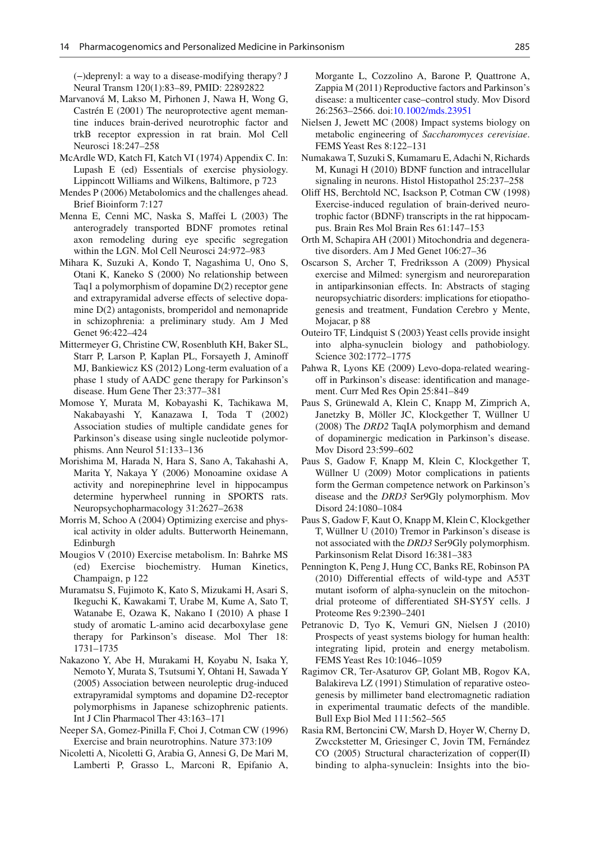<span id="page-20-0"></span>(−)deprenyl: a way to a disease-modifying therapy? J Neural Transm 120(1):83–89, PMID: 22892822

- Marvanová M, Lakso M, Pirhonen J, Nawa H, Wong G, Castrén E (2001) The neuroprotective agent memantine induces brain-derived neurotrophic factor and trkB receptor expression in rat brain. Mol Cell Neurosci 18:247–258
- McArdle WD, Katch FI, Katch VI (1974) Appendix C. In: Lupash E (ed) Essentials of exercise physiology. Lippincott Williams and Wilkens, Baltimore, p 723
- Mendes P (2006) Metabolomics and the challenges ahead. Brief Bioinform 7:127
- Menna E, Cenni MC, Naska S, Maffei L (2003) The anterogradely transported BDNF promotes retinal axon remodeling during eye specific segregation within the LGN. Mol Cell Neurosci 24:972–983
- Mihara K, Suzuki A, Kondo T, Nagashima U, Ono S, Otani K, Kaneko S (2000) No relationship between Taq1 a polymorphism of dopamine D(2) receptor gene and extrapyramidal adverse effects of selective dopamine D(2) antagonists, bromperidol and nemonapride in schizophrenia: a preliminary study. Am J Med Genet 96:422–424
- Mittermeyer G, Christine CW, Rosenbluth KH, Baker SL, Starr P, Larson P, Kaplan PL, Forsayeth J, Aminoff MJ, Bankiewicz KS (2012) Long-term evaluation of a phase 1 study of AADC gene therapy for Parkinson's disease. Hum Gene Ther 23:377–381
- Momose Y, Murata M, Kobayashi K, Tachikawa M, Nakabayashi Y, Kanazawa I, Toda T (2002) Association studies of multiple candidate genes for Parkinson's disease using single nucleotide polymorphisms. Ann Neurol 51:133–136
- Morishima M, Harada N, Hara S, Sano A, Takahashi A, Marita Y, Nakaya Y (2006) Monoamine oxidase A activity and norepinephrine level in hippocampus determine hyperwheel running in SPORTS rats. Neuropsychopharmacology 31:2627–2638
- Morris M, Schoo A (2004) Optimizing exercise and physical activity in older adults. Butterworth Heinemann, Edinburgh
- Mougios V (2010) Exercise metabolism. In: Bahrke MS (ed) Exercise biochemistry. Human Kinetics, Champaign, p 122
- Muramatsu S, Fujimoto K, Kato S, Mizukami H, Asari S, Ikeguchi K, Kawakami T, Urabe M, Kume A, Sato T, Watanabe E, Ozawa K, Nakano I (2010) A phase I study of aromatic L-amino acid decarboxylase gene therapy for Parkinson's disease. Mol Ther 18: 1731–1735
- Nakazono Y, Abe H, Murakami H, Koyabu N, Isaka Y, Nemoto Y, Murata S, Tsutsumi Y, Ohtani H, Sawada Y (2005) Association between neuroleptic drug- induced extrapyramidal symptoms and dopamine D2-receptor polymorphisms in Japanese schizophrenic patients. Int J Clin Pharmacol Ther 43:163–171
- Neeper SA, Gomez-Pinilla F, Choi J, Cotman CW (1996) Exercise and brain neurotrophins. Nature 373:109
- Nicoletti A, Nicoletti G, Arabia G, Annesi G, De Mari M, Lamberti P, Grasso L, Marconi R, Epifanio A,

Morgante L, Cozzolino A, Barone P, Quattrone A, Zappia M (2011) Reproductive factors and Parkinson's disease: a multicenter case–control study. Mov Disord 26:2563–2566. doi:[10.1002/mds.23951](http://dx.doi.org/10.1002/mds.23951)

- Nielsen J, Jewett MC (2008) Impact systems biology on metabolic engineering of *Saccharomyces cerevisiae* . FEMS Yeast Res 8:122–131
- Numakawa T, Suzuki S, Kumamaru E, Adachi N, Richards M, Kunagi H (2010) BDNF function and intracellular signaling in neurons. Histol Histopathol 25:237–258
- Oliff HS, Berchtold NC, Isackson P, Cotman CW (1998) Exercise-induced regulation of brain-derived neurotrophic factor (BDNF) transcripts in the rat hippocampus. Brain Res Mol Brain Res 61:147–153
- Orth M, Schapira AH (2001) Mitochondria and degenerative disorders. Am J Med Genet 106:27–36
- Oscarson S, Archer T, Fredriksson A (2009) Physical exercise and Milmed: synergism and neuroreparation in antiparkinsonian effects. In: Abstracts of staging neuropsychiatric disorders: implications for etiopathogenesis and treatment, Fundation Cerebro y Mente, Mojacar, p 88
- Outeiro TF, Lindquist S (2003) Yeast cells provide insight into alpha-synuclein biology and pathobiology. Science 302:1772–1775
- Pahwa R, Lyons KE (2009) Levo-dopa-related wearingoff in Parkinson's disease: identification and management. Curr Med Res Opin 25:841–849
- Paus S, Grünewald A, Klein C, Knapp M, Zimprich A, Janetzky B, Möller JC, Klockgether T, Wüllner U (2008) The *DRD2* TaqIA polymorphism and demand of dopaminergic medication in Parkinson's disease. Mov Disord 23:599–602
- Paus S, Gadow F, Knapp M, Klein C, Klockgether T, Wüllner U (2009) Motor complications in patients form the German competence network on Parkinson's disease and the *DRD3* Ser9Gly polymorphism. Mov Disord 24:1080–1084
- Paus S, Gadow F, Kaut O, Knapp M, Klein C, Klockgether T, Wüllner U (2010) Tremor in Parkinson's disease is not associated with the *DRD3* Ser9Gly polymorphism. Parkinsonism Relat Disord 16:381–383
- Pennington K, Peng J, Hung CC, Banks RE, Robinson PA (2010) Differential effects of wild-type and A53T mutant isoform of alpha-synuclein on the mitochondrial proteome of differentiated SH-SY5Y cells. J Proteome Res 9:2390–2401
- Petranovic D, Tyo K, Vemuri GN, Nielsen J (2010) Prospects of yeast systems biology for human health: integrating lipid, protein and energy metabolism. FEMS Yeast Res 10:1046–1059
- Ragimov CR, Ter-Asaturov GP, Golant MB, Rogov KA, Balakireva LZ (1991) Stimulation of reparative osteogenesis by millimeter band electromagnetic radiation in experimental traumatic defects of the mandible. Bull Exp Biol Med 111:562–565
- Rasia RM, Bertoncini CW, Marsh D, Hoyer W, Cherny D, Zwcckstetter M, Griesinger C, Jovin TM, Fernández CO (2005) Structural characterization of copper(II) binding to alpha-synuclein: Insights into the bio-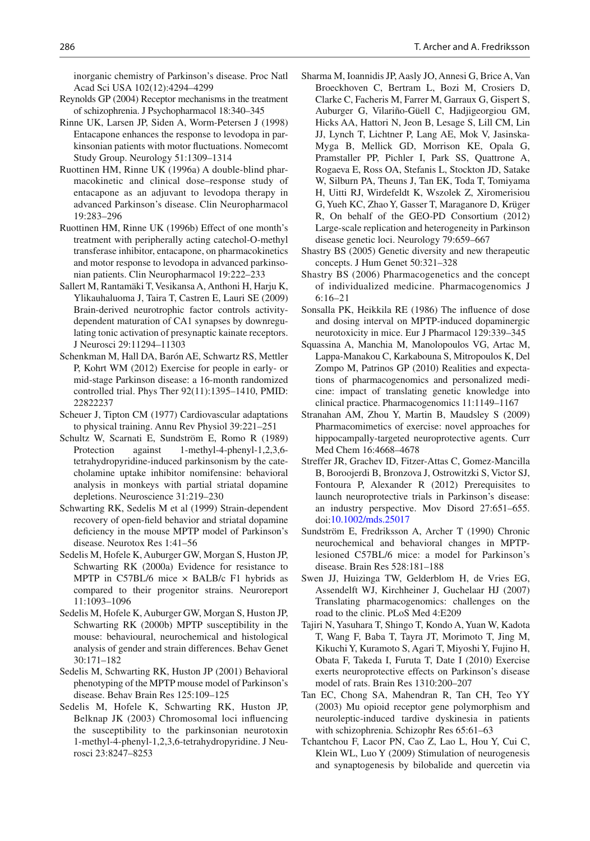<span id="page-21-0"></span>inorganic chemistry of Parkinson's disease. Proc Natl Acad Sci USA 102(12):4294–4299

- Reynolds GP (2004) Receptor mechanisms in the treatment of schizophrenia. J Psychopharmacol 18:340–345
- Rinne UK, Larsen JP, Siden A, Worm-Petersen J (1998) Entacapone enhances the response to levodopa in parkinsonian patients with motor fluctuations. Nomecomt Study Group. Neurology 51:1309–1314
- Ruottinen HM, Rinne UK (1996a) A double-blind pharmacokinetic and clinical dose–response study of entacapone as an adjuvant to levodopa therapy in advanced Parkinson's disease. Clin Neuropharmacol 19:283–296
- Ruottinen HM, Rinne UK (1996b) Effect of one month's treatment with peripherally acting catechol-O-methyl transferase inhibitor, entacapone, on pharmacokinetics and motor response to levodopa in advanced parkinsonian patients. Clin Neuropharmacol 19:222–233
- Sallert M, Rantamäki T, Vesikansa A, Anthoni H, Harju K, Ylikauhaluoma J, Taira T, Castren E, Lauri SE (2009) Brain-derived neurotrophic factor controls activitydependent maturation of CA1 synapses by downregulating tonic activation of presynaptic kainate receptors. J Neurosci 29:11294–11303
- Schenkman M, Hall DA, Barón AE, Schwartz RS, Mettler P, Kohrt WM (2012) Exercise for people in early- or mid-stage Parkinson disease: a 16-month randomized controlled trial. Phys Ther 92(11):1395–1410, PMID: 22822237
- Scheuer J, Tipton CM (1977) Cardiovascular adaptations to physical training. Annu Rev Physiol 39:221–251
- Schultz W, Scarnati E, Sundström E, Romo R (1989) Protection against 1-methyl-4-phenyl-1,2,3,6 tetrahydropyridine- induced parkinsonism by the catecholamine uptake inhibitor nomifensine: behavioral analysis in monkeys with partial striatal dopamine depletions. Neuroscience 31:219–230
- Schwarting RK, Sedelis M et al (1999) Strain-dependent recovery of open-field behavior and striatal dopamine deficiency in the mouse MPTP model of Parkinson's disease. Neurotox Res 1:41–56
- Sedelis M, Hofele K, Auburger GW, Morgan S, Huston JP, Schwarting RK (2000a) Evidence for resistance to MPTP in C57BL/6 mice  $\times$  BALB/c F1 hybrids as compared to their progenitor strains. Neuroreport 11:1093–1096
- Sedelis M, Hofele K, Auburger GW, Morgan S, Huston JP, Schwarting RK (2000b) MPTP susceptibility in the mouse: behavioural, neurochemical and histological analysis of gender and strain differences. Behav Genet 30:171–182
- Sedelis M, Schwarting RK, Huston JP (2001) Behavioral phenotyping of the MPTP mouse model of Parkinson's disease. Behav Brain Res 125:109–125
- Sedelis M, Hofele K, Schwarting RK, Huston JP, Belknap JK (2003) Chromosomal loci influencing the susceptibility to the parkinsonian neurotoxin 1-methyl-4- phenyl-1,2,3,6-tetrahydropyridine. J Neurosci 23:8247–8253
- Sharma M, Ioannidis JP, Aasly JO, Annesi G, Brice A, Van Broeckhoven C, Bertram L, Bozi M, Crosiers D, Clarke C, Facheris M, Farrer M, Garraux G, Gispert S, Auburger G, Vilariño-Güell C, Hadjigeorgiou GM, Hicks AA, Hattori N, Jeon B, Lesage S, Lill CM, Lin JJ, Lynch T, Lichtner P, Lang AE, Mok V, Jasinska-Myga B, Mellick GD, Morrison KE, Opala G, Pramstaller PP, Pichler I, Park SS, Quattrone A, Rogaeva E, Ross OA, Stefanis L, Stockton JD, Satake W, Silburn PA, Theuns J, Tan EK, Toda T, Tomiyama H, Uitti RJ, Wirdefeldt K, Wszolek Z, Xiromerisiou G, Yueh KC, Zhao Y, Gasser T, Maraganore D, Krüger R, On behalf of the GEO-PD Consortium (2012) Large-scale replication and heterogeneity in Parkinson disease genetic loci. Neurology 79:659–667
- Shastry BS (2005) Genetic diversity and new therapeutic concepts. J Hum Genet 50:321–328
- Shastry BS (2006) Pharmacogenetics and the concept of individualized medicine. Pharmacogenomics J 6:16–21
- Sonsalla PK, Heikkila RE (1986) The influence of dose and dosing interval on MPTP-induced dopaminergic neurotoxicity in mice. Eur J Pharmacol 129:339–345
- Squassina A, Manchia M, Manolopoulos VG, Artac M, Lappa-Manakou C, Karkabouna S, Mitropoulos K, Del Zompo M, Patrinos GP (2010) Realities and expectations of pharmacogenomics and personalized medicine: impact of translating genetic knowledge into clinical practice. Pharmacogenomics 11:1149–1167
- Stranahan AM, Zhou Y, Martin B, Maudsley S (2009) Pharmacomimetics of exercise: novel approaches for hippocampally-targeted neuroprotective agents. Curr Med Chem 16:4668–4678
- Streffer JR, Grachev ID, Fitzer-Attas C, Gomez-Mancilla B, Boroojerdi B, Bronzova J, Ostrowitzki S, Victor SJ, Fontoura P, Alexander R (2012) Prerequisites to launch neuroprotective trials in Parkinson's disease: an industry perspective. Mov Disord 27:651–655. doi[:10.1002/mds.25017](http://dx.doi.org/10.1002/mds.25017)
- Sundström E, Fredriksson A, Archer T (1990) Chronic neurochemical and behavioral changes in MPTPlesioned C57BL/6 mice: a model for Parkinson's disease. Brain Res 528:181–188
- Swen JJ, Huizinga TW, Gelderblom H, de Vries EG, Assendelft WJ, Kirchheiner J, Guchelaar HJ (2007) Translating pharmacogenomics: challenges on the road to the clinic. PLoS Med 4:E209
- Tajiri N, Yasuhara T, Shingo T, Kondo A, Yuan W, Kadota T, Wang F, Baba T, Tayra JT, Morimoto T, Jing M, Kikuchi Y, Kuramoto S, Agari T, Miyoshi Y, Fujino H, Obata F, Takeda I, Furuta T, Date I (2010) Exercise exerts neuroprotective effects on Parkinson's disease model of rats. Brain Res 1310:200–207
- Tan EC, Chong SA, Mahendran R, Tan CH, Teo YY (2003) Mu opioid receptor gene polymorphism and neuroleptic-induced tardive dyskinesia in patients with schizophrenia. Schizophr Res 65:61–63
- Tchantchou F, Lacor PN, Cao Z, Lao L, Hou Y, Cui C, Klein WL, Luo Y (2009) Stimulation of neurogenesis and synaptogenesis by bilobalide and quercetin via